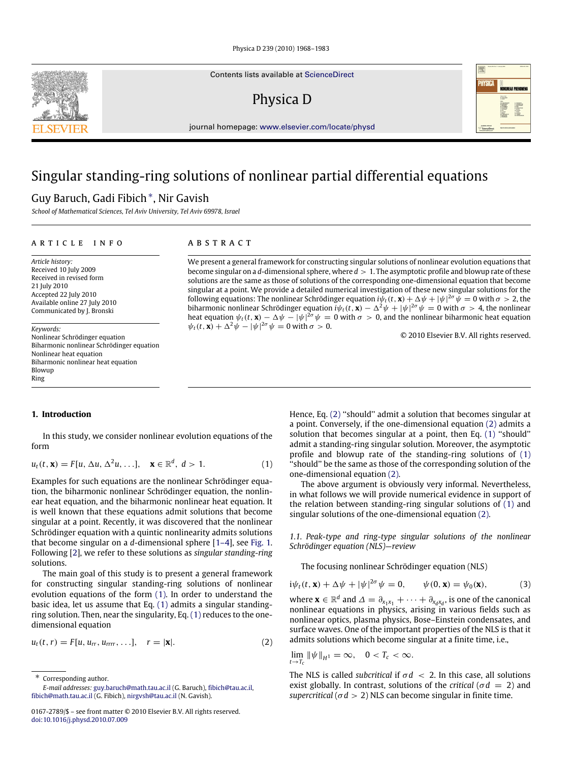Contents lists available at [ScienceDirect](http://www.elsevier.com/locate/physd)

Physica D



journal homepage: [www.elsevier.com/locate/physd](http://www.elsevier.com/locate/physd)

# Singular standing-ring solutions of nonlinear partial differential equations

## Guy Baruch, Gadi Fibich[∗](#page-0-0) , Nir Gavish

*School of Mathematical Sciences, Tel Aviv University, Tel Aviv 69978, Israel*

## a r t i c l e i n f o

*Article history:* Received 10 July 2009 Received in revised form 21 July 2010 Accepted 22 July 2010 Available online 27 July 2010 Communicated by J. Bronski

*Keywords:* Nonlinear Schrödinger equation Biharmonic nonlinear Schrödinger equation Nonlinear heat equation Biharmonic nonlinear heat equation Blowup Ring

## **1. Introduction**

In this study, we consider nonlinear evolution equations of the form

$$
u_t(t, \mathbf{x}) = F[u, \Delta u, \Delta^2 u, \ldots], \quad \mathbf{x} \in \mathbb{R}^d, \ d > 1.
$$
 (1)

Examples for such equations are the nonlinear Schrödinger equation, the biharmonic nonlinear Schrödinger equation, the nonlinear heat equation, and the biharmonic nonlinear heat equation. It is well known that these equations admit solutions that become singular at a point. Recently, it was discovered that the nonlinear Schrödinger equation with a quintic nonlinearity admits solutions that become singular on a *d*-dimensional sphere [\[1–4\]](#page-15-0), see [Fig. 1.](#page-1-0) Following [\[2\]](#page-15-1), we refer to these solutions as *singular standing-ring* solutions.

The main goal of this study is to present a general framework for constructing singular standing-ring solutions of nonlinear evolution equations of the form [\(1\).](#page-0-1) In order to understand the basic idea, let us assume that Eq. [\(1\)](#page-0-1) admits a singular standingring solution. Then, near the singularity, Eq. [\(1\)](#page-0-1) reduces to the onedimensional equation

$$
u_t(t, r) = F[u, u_{rr}, u_{rrrr}, \ldots], \quad r = |\mathbf{x}|.
$$
 (2)

<span id="page-0-0"></span>Corresponding author. *E-mail addresses:* [guy.baruch@math.tau.ac.il](mailto:guy.baruch@math.tau.ac.il) (G. Baruch), [fibich@tau.ac.il,](mailto:fibich@tau.ac.il) [fibich@math.tau.ac.il](mailto:fibich@math.tau.ac.il) (G. Fibich), [nirgvsh@tau.ac.il](mailto:nirgvsh@tau.ac.il) (N. Gavish).

## A B S T R A C T

We present a general framework for constructing singular solutions of nonlinear evolution equations that become singular on a *d*-dimensional sphere, where *d* > 1. The asymptotic profile and blowup rate of these solutions are the same as those of solutions of the corresponding one-dimensional equation that become singular at a point. We provide a detailed numerical investigation of these new singular solutions for the following equations: The nonlinear Schrödinger equation  $i\psi_t(t,{\bf x})+\Delta\psi+|\psi|^{2\sigma}\psi=0$  with  $\sigma>2$ , the biharmonic nonlinear Schrödinger equation  $i\psi_t(t,{\bf x})-\Delta^2\psi+|\psi|^{2\sigma}\psi=0$  with  $\sigma>4$ , the nonlinear heat equation  $\psi_t(t, \mathbf{x}) - \Delta \psi - |\psi|^{2\sigma} \psi = 0$  with  $\sigma > 0$ , and the nonlinear biharmonic heat equation  $\psi_t(t, \mathbf{x}) + \Delta^2 \psi - |\psi|^{2\sigma} \psi = 0$  with  $\sigma > 0$ .

© 2010 Elsevier B.V. All rights reserved.

Hence, Eq. [\(2\)](#page-0-2) ''should'' admit a solution that becomes singular at a point. Conversely, if the one-dimensional equation [\(2\)](#page-0-2) admits a solution that becomes singular at a point, then Eq. [\(1\)](#page-0-1) ''should'' admit a standing-ring singular solution. Moreover, the asymptotic profile and blowup rate of the standing-ring solutions of [\(1\)](#page-0-1) ''should'' be the same as those of the corresponding solution of the one-dimensional equation [\(2\).](#page-0-2)

<span id="page-0-1"></span>The above argument is obviously very informal. Nevertheless, in what follows we will provide numerical evidence in support of the relation between standing-ring singular solutions of [\(1\)](#page-0-1) and singular solutions of the one-dimensional equation [\(2\).](#page-0-2)

*1.1. Peak-type and ring-type singular solutions of the nonlinear Schrödinger equation (NLS)—review*

<span id="page-0-3"></span>The focusing nonlinear Schrödinger equation (NLS)

$$
i\psi_t(t, \mathbf{x}) + \Delta \psi + |\psi|^{2\sigma} \psi = 0, \qquad \psi(0, \mathbf{x}) = \psi_0(\mathbf{x}), \tag{3}
$$

where  $\mathbf{x} \in \mathbb{R}^d$  and  $\Delta = \partial_{x_1 x_1} + \cdots + \partial_{x_d x_d}$ , is one of the canonical nonlinear equations in physics, arising in various fields such as nonlinear optics, plasma physics, Bose–Einstein condensates, and surface waves. One of the important properties of the NLS is that it admits solutions which become singular at a finite time, i.e.,

<span id="page-0-2"></span>
$$
\lim_{t\to T_c} \|\psi\|_{H^1} = \infty, \quad 0 < T_c < \infty.
$$

The NLS is called *subcritical* if  $\sigma d < 2$ . In this case, all solutions exist globally. In contrast, solutions of the *critical* ( $\sigma d = 2$ ) and *supercritical* ( $\sigma$ *d* > 2) NLS can become singular in finite time.



<sup>0167-2789/\$ –</sup> see front matter © 2010 Elsevier B.V. All rights reserved. [doi:10.1016/j.physd.2010.07.009](http://dx.doi.org/10.1016/j.physd.2010.07.009)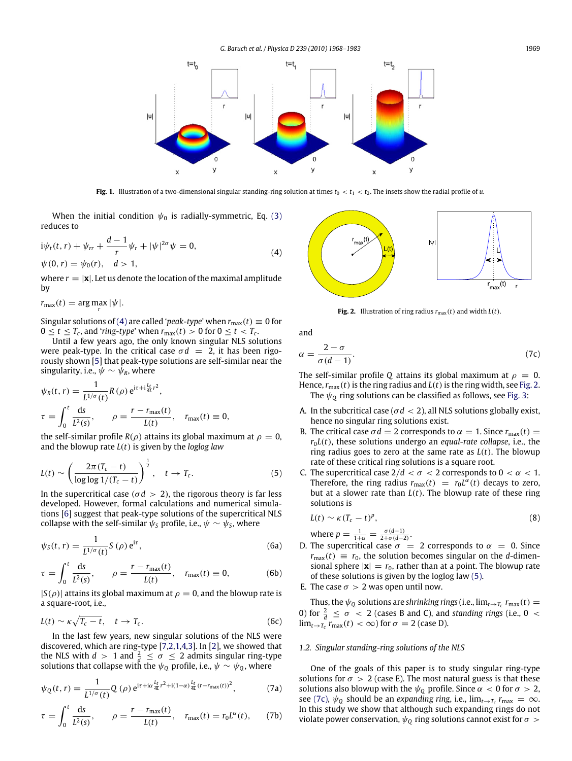<span id="page-1-0"></span>

**Fig. 1.** Illustration of a two-dimensional singular standing-ring solution at times  $t_0 < t_1 < t_2$ . The insets show the radial profile of *u*.

When the initial condition  $\psi_0$  is radially-symmetric, Eq. [\(3\)](#page-0-3) reduces to

$$
i\psi_t(t,r) + \psi_{rr} + \frac{d-1}{r}\psi_r + |\psi|^{2\sigma}\psi = 0,
$$
  
\n
$$
\psi(0,r) = \psi_0(r), \quad d > 1,
$$
\n(4)

where  $r = |\mathbf{x}|$ . Let us denote the location of the maximal amplitude by

 $r_{\text{max}}(t) = \arg \max_{r} |\psi|$ .

Singular solutions of [\(4\)](#page-1-1) are called '*peak-type*' when  $r_{\text{max}}(t) \equiv 0$  for  $0 \le t \le T_c$ , and '*ring-type*' when  $r_{\text{max}}(t) > 0$  for  $0 \le t < T_c$ .

Until a few years ago, the only known singular NLS solutions were peak-type. In the critical case  $\sigma d = 2$ , it has been rigorously shown [\[5\]](#page-15-2) that peak-type solutions are self-similar near the singularity, i.e.,  $\psi \sim \psi_R$ , where

$$
\psi_R(t, r) = \frac{1}{L^{1/\sigma}(t)} R(\rho) e^{i\tau + i\frac{L_t}{4L}r^2},
$$
  
\n
$$
\tau = \int_0^t \frac{ds}{L^2(s)}, \qquad \rho = \frac{r - r_{\text{max}}(t)}{L(t)}, \quad r_{\text{max}}(t) \equiv 0,
$$

the self-similar profile  $R(\rho)$  attains its global maximum at  $\rho = 0$ , and the blowup rate *L*(*t*) is given by the *loglog law*

$$
L(t) \sim \left(\frac{2\pi (T_c - t)}{\log \log 1/(T_c - t)}\right)^{\frac{1}{2}}, \quad t \to T_c.
$$
 (5)

In the supercritical case ( $\sigma d > 2$ ), the rigorous theory is far less developed. However, formal calculations and numerical simulations [\[6\]](#page-15-3) suggest that peak-type solutions of the supercritical NLS collapse with the self-similar  $\psi_{\mathcal{S}}$  profile, i.e.,  $\psi \sim \psi_{\mathcal{S}}$ , where

$$
\psi_S(t,r) = \frac{1}{L^{1/\sigma}(t)} S(\rho) e^{i\tau},
$$
\n(6a)

$$
\tau = \int_0^t \frac{ds}{L^2(s)}, \qquad \rho = \frac{r - r_{\text{max}}(t)}{L(t)}, \quad r_{\text{max}}(t) \equiv 0,
$$
 (6b)

 $|S(\rho)|$  attains its global maximum at  $\rho = 0$ , and the blowup rate is a square-root, i.e.,

$$
L(t) \sim \kappa \sqrt{T_c - t}, \quad t \to T_c. \tag{6c}
$$

In the last few years, new singular solutions of the NLS were discovered, which are ring-type [\[7,](#page-15-4)[2](#page-15-1)[,1](#page-15-0)[,4,](#page-15-5)[3\]](#page-15-6). In [\[2\]](#page-15-1), we showed that the NLS with  $d > 1$  and  $\frac{2}{d} \leq \sigma \leq 2$  admits singular ring-type solutions that collapse with the  $\psi_{\mathbb{Q}}$  profile, i.e.,  $\psi \sim \psi_{\mathbb{Q}}$ , where

<span id="page-1-7"></span>
$$
\psi_{Q}(t,r) = \frac{1}{L^{1/\sigma}(t)} Q(\rho) e^{i\tau + i\alpha \frac{L_t}{4L} r^2 + i(1-\alpha) \frac{L_t}{4L} (r - r_{\text{max}}(t))^2},
$$
(7a)

$$
\tau = \int_0^t \frac{ds}{L^2(s)}, \qquad \rho = \frac{r - r_{\text{max}}(t)}{L(t)}, \quad r_{\text{max}}(t) = r_0 L^{\alpha}(t), \tag{7b}
$$

<span id="page-1-2"></span><span id="page-1-1"></span>

<span id="page-1-4"></span>**Fig. 2.** Illustration of ring radius  $r_{\text{max}}(t)$  and width  $L(t)$ .

and

$$
\alpha = \frac{2 - \sigma}{\sigma(d - 1)}.\tag{7c}
$$

The self-similar profile *Q* attains its global maximum at  $\rho = 0$ . Hence,  $r_{\text{max}}(t)$  is the ring radius and  $L(t)$  is the ring width, see [Fig. 2.](#page-1-2) The  $\psi_0$  ring solutions can be classified as follows, see [Fig. 3:](#page-2-0)

- A. In the subcritical case ( $\sigma d < 2$ ), all NLS solutions globally exist, hence no singular ring solutions exist.
- B. The critical case  $\sigma d = 2$  corresponds to  $\alpha = 1$ . Since  $r_{\text{max}}(t) =$  $r_0L(t)$ , these solutions undergo an *equal-rate collapse*, i.e., the ring radius goes to zero at the same rate as *L*(*t*). The blowup rate of these critical ring solutions is a square root.
- <span id="page-1-3"></span>C. The supercritical case  $2/d < \sigma < 2$  corresponds to  $0 < \alpha < 1$ . Therefore, the ring radius  $r_{\text{max}}(t) = r_0 L^{\alpha}(t)$  decays to zero, but at a slower rate than *L*(*t*). The blowup rate of these ring solutions is

<span id="page-1-8"></span>
$$
L(t) \sim \kappa (T_c - t)^p, \tag{8}
$$

where  $p = \frac{1}{1+\alpha} = \frac{\sigma(d-1)}{2+\sigma(d-2)}$ .

- <span id="page-1-5"></span>D. The supercritical case  $\sigma = 2$  corresponds to  $\alpha = 0$ . Since  $r_{\text{max}}(t) \equiv r_0$ , the solution becomes singular on the *d*-dimensional sphere  $|\mathbf{x}| = r_0$ , rather than at a point. The blowup rate of these solutions is given by the loglog law [\(5\).](#page-1-3)
- E. The case  $\sigma > 2$  was open until now.

<span id="page-1-6"></span>Thus, the  $\psi_{\mathbb{Q}}$  solutions are *shrinking rings* (i.e.,  $\lim_{t\to T_c} r_{\text{max}}(t)$  = 0) for  $\frac{2}{d} \leq \sigma$  < 2 (cases B and C), and *standing rings* (i.e., 0 <  $\lim_{t\to T_c} r_{\text{max}}(t) < \infty$ ) for  $\sigma = 2$  (case D).

#### *1.2. Singular standing-ring solutions of the NLS*

One of the goals of this paper is to study singular ring-type solutions for  $\sigma > 2$  (case E). The most natural guess is that these solutions also blowup with the  $\psi_0$  profile. Since  $\alpha < 0$  for  $\sigma > 2$ , see [\(7c\),](#page-1-4)  $\psi_{\mathbb{Q}}$  should be an *expanding ring*, i.e.,  $\lim_{t\to T_c} r_{\text{max}} = \infty$ . In this study we show that although such expanding rings do not violate power conservation,  $\psi_0$  ring solutions cannot exist for  $\sigma >$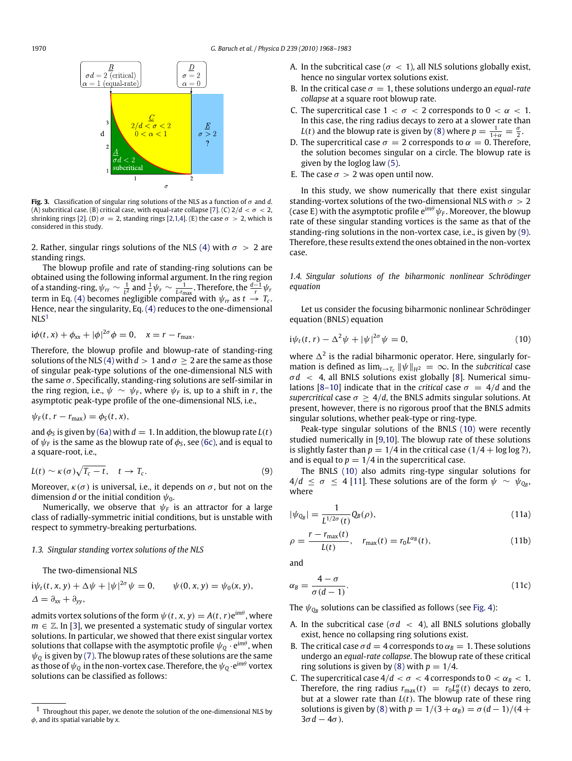<span id="page-2-0"></span>

**Fig. 3.** Classification of singular ring solutions of the NLS as a function of σ and *d*. (A) subcritical case. (B) critical case, with equal-rate collapse [\[7\]](#page-15-4). (C)  $2/d < \sigma < 2$ , shrinking rings [\[2\]](#page-15-1). (D)  $\sigma = 2$ , standing rings [\[2,](#page-15-1)[1](#page-15-0)[,4\]](#page-15-5). (E) the case  $\sigma > 2$ , which is considered in this study.

2. Rather, singular rings solutions of the NLS [\(4\)](#page-1-1) with  $\sigma > 2$  are standing rings.

The blowup profile and rate of standing-ring solutions can be obtained using the following informal argument. In the ring region of a standing-ring,  $\psi_{rr} \sim \frac{1}{l^2}$  and  $\frac{1}{r} \psi_r \sim \frac{1}{Lr_{\text{max}}}$ . Therefore, the  $\frac{d-1}{r} \psi_r$ term in Eq. [\(4\)](#page-1-1) becomes negligible compared with  $\psi_{rr}$  as  $t \to T_c$ . Hence, near the singularity, Eq. [\(4\)](#page-1-1) reduces to the one-dimensional  $NLS<sup>1</sup>$  $NLS<sup>1</sup>$  $NLS<sup>1</sup>$ 

$$
i\phi(t, x) + \phi_{xx} + |\phi|^{2\sigma}\phi = 0, \quad x = r - r_{\text{max}}.
$$

Therefore, the blowup profile and blowup-rate of standing-ring solutions of the NLS [\(4\)](#page-1-1) with  $d > 1$  and  $\sigma \geq 2$  are the same as those of singular peak-type solutions of the one-dimensional NLS with the same  $\sigma$ . Specifically, standing-ring solutions are self-similar in the ring region, i.e.,  $\psi \sim \psi_F$ , where  $\psi_F$  is, up to a shift in *r*, the asymptotic peak-type profile of the one-dimensional NLS, i.e.,

$$
\psi_F(t, r - r_{\text{max}}) = \phi_S(t, x),
$$

and  $\phi_S$  is given by [\(6a\)](#page-1-5) with  $d = 1$ . In addition, the blowup rate  $L(t)$ of  $\psi_F$  is the same as the blowup rate of  $\phi_{\mathsf{S}}$ , see [\(6c\),](#page-1-6) and is equal to a square-root, i.e.,

$$
L(t) \sim \kappa(\sigma) \sqrt{T_c - t}, \quad t \to T_c.
$$
 (9)

Moreover,  $\kappa(\sigma)$  is universal, i.e., it depends on  $\sigma$ , but not on the dimension *d* or the initial condition  $\psi_0$ .

Numerically, we observe that  $\psi_F$  is an attractor for a large class of radially-symmetric initial conditions, but is unstable with respect to symmetry-breaking perturbations.

## *1.3. Singular standing vortex solutions of the NLS*

The two-dimensional NLS

 $i\psi_t(t, x, y) + \Delta \psi + |\psi|^{2\sigma} \psi = 0,$  $\psi(0, x, y) = \psi_0(x, y),$  $\Delta = \partial_{xx} + \partial_{yy}$ 

admits vortex solutions of the form  $\psi(t, x, y) = A(t, r) e^{im\theta}$ , where  $m \in \mathbb{Z}$ . In [\[3\]](#page-15-6), we presented a systematic study of singular vortex solutions. In particular, we showed that there exist singular vortex solutions that collapse with the asymptotic profile  $\psi_{\mathsf{Q}} \cdot \mathsf{e}^{\mathsf{i} m \theta}$ , when  $\psi_0$  is given by [\(7\).](#page-1-7) The blowup rates of these solutions are the same as those of  $\psi_{\mathrm{Q}}$  in the non-vortex case. Therefore, the  $\psi_{\mathrm{Q}}\!\cdot\!{\mathrm{e}}^{\mathrm{i} m\theta}$  vortex solutions can be classified as follows:

- A. In the subcritical case ( $\sigma < 1$ ), all NLS solutions globally exist, hence no singular vortex solutions exist.
- B. In the critical case  $\sigma = 1$ , these solutions undergo an *equal-rate collapse* at a square root blowup rate.
- C. The supercritical case  $1 < \sigma < 2$  corresponds to  $0 < \alpha < 1$ . In this case, the ring radius decays to zero at a slower rate than *L*(*t*) and the blowup rate is given by [\(8\)](#page-1-8) where  $p = \frac{1}{1+\alpha} = \frac{\sigma}{2}$ .
- D. The supercritical case  $\sigma = 2$  corresponds to  $\alpha = 0$ . Therefore, the solution becomes singular on a circle. The blowup rate is given by the loglog law [\(5\).](#page-1-3)
- E. The case  $\sigma > 2$  was open until now.

In this study, we show numerically that there exist singular standing-vortex solutions of the two-dimensional NLS with  $\sigma > 2$ (case E) with the asymptotic profile  $e^{im\theta}\psi_F$ . Moreover, the blowup rate of these singular standing vortices is the same as that of the standing-ring solutions in the non-vortex case, i.e., is given by [\(9\).](#page-2-2) Therefore, these results extend the ones obtained in the non-vortex case.

*1.4. Singular solutions of the biharmonic nonlinear Schrödinger equation*

Let us consider the focusing biharmonic nonlinear Schrödinger equation (BNLS) equation

<span id="page-2-3"></span>
$$
i\psi_t(t,r) - \Delta^2 \psi + |\psi|^{2\sigma} \psi = 0, \qquad (10)
$$

where  $\Delta^2$  is the radial biharmonic operator. Here, singularly formation is defined as  $\lim_{t\to T_c} ||\psi||_{H^2} = \infty$ . In the *subcritical* case  $\sigma d$  < 4, all BNLS solutions exist globally [\[8\]](#page-15-7). Numerical simu-lations [\[8–10\]](#page-15-7) indicate that in the *critical* case  $\sigma = 4/d$  and the *supercritical* case  $\sigma > 4/d$ , the BNLS admits singular solutions. At present, however, there is no rigorous proof that the BNLS admits singular solutions, whether peak-type or ring-type.

Peak-type singular solutions of the BNLS [\(10\)](#page-2-3) were recently studied numerically in [\[9](#page-15-8)[,10\]](#page-15-9). The blowup rate of these solutions is slightly faster than  $p = 1/4$  in the critical case  $(1/4 + \log \log ?)$ , and is equal to  $p = 1/4$  in the supercritical case.

<span id="page-2-2"></span>The BNLS [\(10\)](#page-2-3) also admits ring-type singular solutions for  $4/d \leq \sigma \leq 4$  [\[11\]](#page-15-10). These solutions are of the form  $\psi \sim \psi_{Q_B}$ where

$$
|\psi_{Q_B}| = \frac{1}{L^{1/2\sigma}(t)} Q_B(\rho),
$$
\n(11a)

$$
\rho = \frac{r - r_{\text{max}}(t)}{L(t)}, \quad r_{\text{max}}(t) = r_0 L^{\alpha_B}(t), \tag{11b}
$$

and

$$
\alpha_B = \frac{4-\sigma}{\sigma(d-1)}.\tag{11c}
$$

The  $\psi_{\mathrm{Q}_{\!B}}$  solutions can be classified as follows (see [Fig. 4\)](#page-3-0):

- A. In the subcritical case ( $\sigma d < 4$ ), all BNLS solutions globally exist, hence no collapsing ring solutions exist.
- B. The critical case  $\sigma d = 4$  corresponds to  $\alpha_B = 1$ . These solutions undergo an *equal-rate collapse*. The blowup rate of these critical ring solutions is given by [\(8\)](#page-1-8) with  $p = 1/4$ .
- C. The supercritical case  $4/d < \sigma < 4$  corresponds to  $0 < \alpha_B < 1$ . Therefore, the ring radius  $r_{\text{max}}(t) = r_0 L_B^{\alpha}(t)$  decays to zero, but at a slower rate than  $L(t)$ . The blowup rate of these ring solutions is given by [\(8\)](#page-1-8) with  $p = 1/(3 + \alpha_B) = \sigma(d-1)/(4 +$  $3\sigma d - 4\sigma$ ).

<span id="page-2-1"></span><sup>1</sup> Throughout this paper, we denote the solution of the one-dimensional NLS by φ, and its spatial variable by *x*.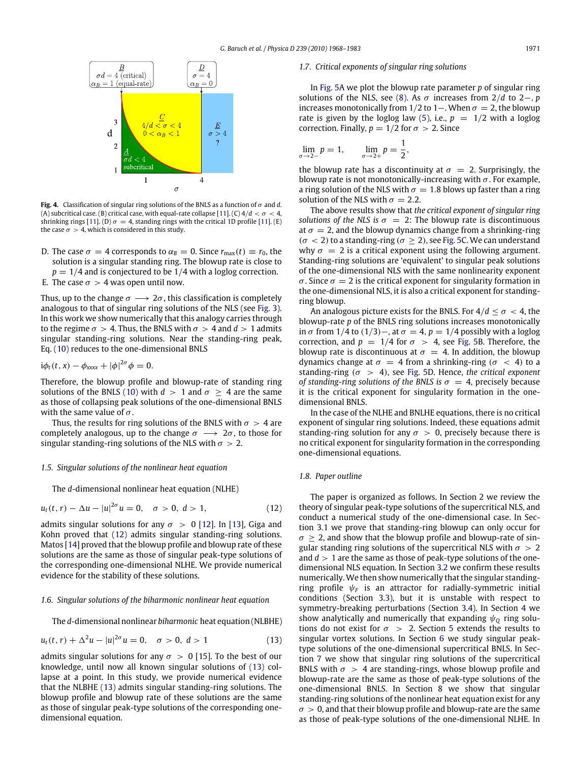$\sigma$ 

<span id="page-3-0"></span>

**Fig. 4.** Classification of singular ring solutions of the BNLS as a function of σ and *d*. (A) subcritical case. (B) critical case, with equal-rate collapse [\[11\]](#page-15-10). (C)  $4/d < \sigma < 4$ , shrinking rings [\[11\]](#page-15-10). (D)  $\sigma = 4$ , standing rings with the critical 1D profile [11]. (E) the case  $\sigma > 4$ , which is considered in this study.

D. The case  $\sigma = 4$  corresponds to  $\alpha_B = 0$ . Since  $r_{\text{max}}(t) \equiv r_0$ , the solution is a singular standing ring. The blowup rate is close to  $p = 1/4$  and is conjectured to be  $1/4$  with a loglog correction.

E. The case  $\sigma > 4$  was open until now.

Thus, up to the change  $\sigma \longrightarrow 2\sigma$ , this classification is completely analogous to that of singular ring solutions of the NLS (see [Fig. 3\)](#page-2-0). In this work we show numerically that this analogy carries through to the regime  $\sigma > 4$ . Thus, the BNLS with  $\sigma > 4$  and  $d > 1$  admits singular standing-ring solutions. Near the standing-ring peak, Eq. [\(10\)](#page-2-3) reduces to the one-dimensional BNLS

$$
i\phi_t(t,x)-\phi_{xxxx}+|\phi|^{2\sigma}\phi=0.
$$

Therefore, the blowup profile and blowup-rate of standing ring solutions of the BNLS [\(10\)](#page-2-3) with  $d > 1$  and  $\sigma \geq 4$  are the same as those of collapsing peak solutions of the one-dimensional BNLS with the same value of  $\sigma$ .

Thus, the results for ring solutions of the BNLS with  $\sigma > 4$  are completely analogous, up to the change  $\sigma \longrightarrow 2\sigma$ , to those for singular standing-ring solutions of the NLS with  $\sigma > 2$ .

## *1.5. Singular solutions of the nonlinear heat equation*

The *d*-dimensional nonlinear heat equation (NLHE)

$$
u_t(t, r) - \Delta u - |u|^{2\sigma} u = 0, \quad \sigma > 0, \ d > 1,
$$
 (12)

admits singular solutions for any  $\sigma > 0$  [\[12\]](#page-15-11). In [\[13\]](#page-15-12), Giga and Kohn proved that [\(12\)](#page-3-1) admits singular standing-ring solutions. Matos [\[14\]](#page-15-13) proved that the blowup profile and blowup rate of these solutions are the same as those of singular peak-type solutions of the corresponding one-dimensional NLHE. We provide numerical evidence for the stability of these solutions.

## *1.6. Singular solutions of the biharmonic nonlinear heat equation*

The *d*-dimensional nonlinear *biharmonic* heat equation (NLBHE)

$$
u_t(t, r) + \Delta^2 u - |u|^{2\sigma} u = 0, \quad \sigma > 0, \ d > 1 \tag{13}
$$

admits singular solutions for any  $\sigma > 0$  [\[15\]](#page-15-14). To the best of our knowledge, until now all known singular solutions of [\(13\)](#page-3-2) collapse at a point. In this study, we provide numerical evidence that the NLBHE [\(13\)](#page-3-2) admits singular standing-ring solutions. The blowup profile and blowup rate of these solutions are the same as those of singular peak-type solutions of the corresponding onedimensional equation.

#### *1.7. Critical exponents of singular ring solutions*

In [Fig. 5A](#page-4-0) we plot the blowup rate parameter *p* of singular ring solutions of the NLS, see [\(8\).](#page-1-8) As  $\sigma$  increases from 2/*d* to 2–, *p* increases monotonically from 1/2 to 1–. When  $\sigma = 2$ , the blowup rate is given by the loglog law [\(5\),](#page-1-3) i.e.,  $p = 1/2$  with a loglog correction. Finally,  $p = 1/2$  for  $\sigma > 2$ . Since

$$
\lim_{\sigma \to 2-} p = 1, \qquad \lim_{\sigma \to 2+} p = \frac{1}{2},
$$

the blowup rate has a discontinuity at  $\sigma = 2$ . Surprisingly, the blowup rate is not monotonically-increasing with  $\sigma$ . For example, a ring solution of the NLS with  $\sigma = 1.8$  blows up faster than a ring solution of the NLS with  $\sigma = 2.2$ .

The above results show that *the critical exponent of singular ring solutions of the NLS is*  $\sigma = 2$ : The blowup rate is discontinuous at  $\sigma = 2$ , and the blowup dynamics change from a shrinking-ring  $(\sigma < 2)$  to a standing-ring ( $\sigma > 2$ ), see [Fig. 5C](#page-4-0). We can understand why  $\sigma = 2$  is a critical exponent using the following argument. Standing-ring solutions are 'equivalent' to singular peak solutions of the one-dimensional NLS with the same nonlinearity exponent  $\sigma$ . Since  $\sigma = 2$  is the critical exponent for singularity formation in the one-dimensional NLS, it is also a critical exponent for standingring blowup.

An analogous picture exists for the BNLS. For  $4/d \leq \sigma < 4$ , the blowup-rate *p* of the BNLS ring solutions increases monotonically in  $\sigma$  from 1/4 to (1/3)–, at  $\sigma = 4$ ,  $p = 1/4$  possibly with a loglog correction, and  $p = 1/4$  for  $\sigma > 4$ , see [Fig. 5B](#page-4-0). Therefore, the blowup rate is discontinuous at  $\sigma = 4$ . In addition, the blowup dynamics change at  $\sigma = 4$  from a shrinking-ring ( $\sigma < 4$ ) to a standing-ring  $(\sigma > 4)$ , see [Fig. 5D](#page-4-0). Hence, the critical exponent *of standing-ring solutions of the BNLS is*  $\sigma = 4$ , precisely because it is the critical exponent for singularity formation in the onedimensional BNLS.

In the case of the NLHE and BNLHE equations, there is no critical exponent of singular ring solutions. Indeed, these equations admit standing-ring solution for any  $\sigma > 0$ , precisely because there is no critical exponent for singularity formation in the corresponding one-dimensional equations.

#### *1.8. Paper outline*

<span id="page-3-2"></span><span id="page-3-1"></span>The paper is organized as follows. In Section [2](#page-4-1) we review the theory of singular peak-type solutions of the supercritical NLS, and conduct a numerical study of the one-dimensional case. In Section [3.1](#page-5-0) we prove that standing-ring blowup can only occur for  $\sigma > 2$ , and show that the blowup profile and blowup-rate of singular standing ring solutions of the supercritical NLS with  $\sigma > 2$ and  $d > 1$  are the same as those of peak-type solutions of the onedimensional NLS equation. In Section [3.2](#page-6-0) we confirm these results numerically.We then show numerically that the singular standingring profile  $\psi_F$  is an attractor for radially-symmetric initial conditions (Section [3.3\)](#page-6-1), but it is unstable with respect to symmetry-breaking perturbations (Section [3.4\)](#page-7-0). In Section [4](#page-8-0) we show analytically and numerically that expanding  $\psi_0$  ring solutions do not exist for  $\sigma > 2$ . Section [5](#page-9-0) extends the results to singular vortex solutions. In Section [6](#page-11-0) we study singular peaktype solutions of the one-dimensional supercritical BNLS. In Section [7](#page-11-1) we show that singular ring solutions of the supercritical BNLS with  $\sigma > 4$  are standing-rings, whose blowup profile and blowup-rate are the same as those of peak-type solutions of the one-dimensional BNLS. In Section [8](#page-13-0) we show that singular standing-ring solutions of the nonlinear heat equation exist for any  $\sigma > 0$ , and that their blowup profile and blowup-rate are the same as those of peak-type solutions of the one-dimensional NLHE. In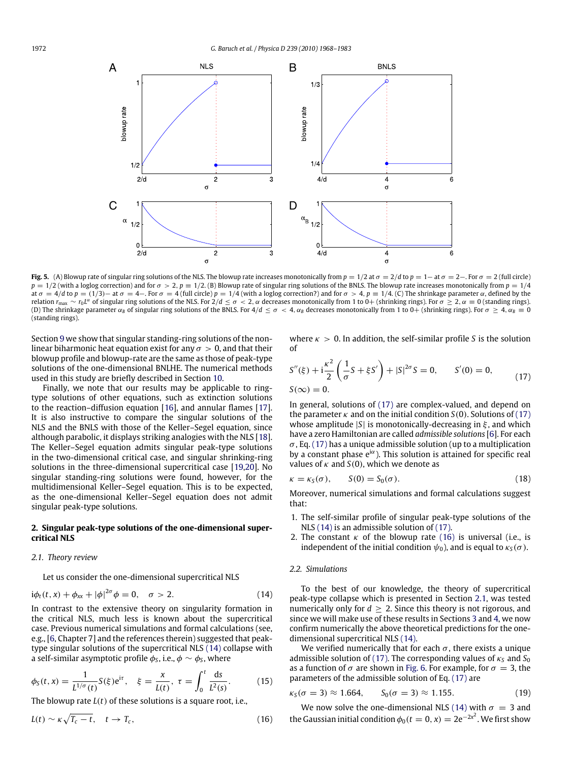<span id="page-4-0"></span>

**Fig. 5.** (A) Blowup rate of singular ring solutions of the NLS. The blowup rate increases monotonically from  $p = 1/2$  at  $\sigma = 2/d$  to  $p = 1 -$  at  $\sigma = 2 -$ . For  $\sigma = 2$  (full circle)  $p = 1/2$  (with a loglog correction) and for  $\sigma > 2$ ,  $p = 1/2$ . (B) Blowup rate of singular ring solutions of the BNLS. The blowup rate increases monotonically from  $p = 1/4$ at  $\sigma = 4/d$  to  $p = (1/3)$  – at  $\sigma = 4$  –. For  $\sigma = 4$  (full circle)  $p = 1/4$  (with a loglog correction?) and for  $\sigma > 4$ ,  $p \equiv 1/4$ . (C) The shrinkage parameter  $\alpha$ , defined by the relation  $r_{\text{max}} \sim r_0 L^{\alpha}$  of singular ring solutions of the NLS. For 2/*d* ≤  $\sigma$  < 2, α decreases monotonically from 1 to 0+ (shrinking rings). For  $\sigma \geq 2$ , α ≡ 0 (standing rings). (D) The shrinkage parameter  $\alpha_B$  of singular ring solutions of the BNLS. For  $4/d \leq \sigma < 4$ ,  $\alpha_B$  decreases monotonically from 1 to 0+ (shrinking rings). For  $\sigma \geq 4$ ,  $\alpha_B \equiv 0$ (standing rings).

Section [9](#page-14-0) we show that singular standing-ring solutions of the nonlinear biharmonic heat equation exist for any  $\sigma > 0$ , and that their blowup profile and blowup-rate are the same as those of peak-type solutions of the one-dimensional BNLHE. The numerical methods used in this study are briefly described in Section [10.](#page-14-1)

Finally, we note that our results may be applicable to ringtype solutions of other equations, such as extinction solutions to the reaction–diffusion equation [\[16\]](#page-15-15), and annular flames [\[17\]](#page-15-16). It is also instructive to compare the singular solutions of the NLS and the BNLS with those of the Keller–Segel equation, since although parabolic, it displays striking analogies with the NLS [\[18\]](#page-15-17). The Keller–Segel equation admits singular peak-type solutions in the two-dimensional critical case, and singular shrinking-ring solutions in the three-dimensional supercritical case [\[19](#page-15-18)[,20\]](#page-15-19). No singular standing-ring solutions were found, however, for the multidimensional Keller–Segel equation. This is to be expected, as the one-dimensional Keller–Segel equation does not admit singular peak-type solutions.

## <span id="page-4-1"></span>**2. Singular peak-type solutions of the one-dimensional supercritical NLS**

#### <span id="page-4-5"></span>*2.1. Theory review*

Let us consider the one-dimensional supercritical NLS

$$
i\phi_t(t, x) + \phi_{xx} + |\phi|^{2\sigma} \phi = 0, \quad \sigma > 2.
$$
 (14)

In contrast to the extensive theory on singularity formation in the critical NLS, much less is known about the supercritical case. Previous numerical simulations and formal calculations (see, e.g., [\[6,](#page-15-3) Chapter 7] and the references therein) suggested that peaktype singular solutions of the supercritical NLS [\(14\)](#page-4-2) collapse with a self-similar asymptotic profile  $\phi_{\mathsf{S}}$ , i.e.,  $\phi \sim \phi_{\mathsf{S}}$ , where

$$
\phi_S(t, x) = \frac{1}{L^{1/\sigma}(t)} S(\xi) e^{i\tau}, \quad \xi = \frac{x}{L(t)}, \ \tau = \int_0^t \frac{ds}{L^2(s)}.
$$
 (15)

The blowup rate *L*(*t*) of these solutions is a square root, i.e.,

$$
L(t) \sim \kappa \sqrt{T_c - t}, \quad t \to T_c, \tag{16}
$$

where  $\kappa > 0$ . In addition, the self-similar profile *S* is the solution of

<span id="page-4-3"></span>
$$
S''(\xi) + i\frac{\kappa^2}{2} \left( \frac{1}{\sigma} S + \xi S' \right) + |S|^{2\sigma} S = 0, \qquad S'(0) = 0,
$$
  
\n
$$
S(\infty) = 0.
$$
\n(17)

In general, solutions of [\(17\)](#page-4-3) are complex-valued, and depend on the parameter  $\kappa$  and on the initial condition *S*(0). Solutions of [\(17\)](#page-4-3) whose amplitude |*S*| is monotonically-decreasing in ξ , and which have a zero Hamiltonian are called *admissible solutions* [\[6\]](#page-15-3). For each  $\sigma$ , Eq. [\(17\)](#page-4-3) has a unique admissible solution (up to a multiplication by a constant phase  $e^{i\alpha}$ ). This solution is attained for specific real values of  $\kappa$  and  $S(0)$ , which we denote as

<span id="page-4-8"></span>
$$
\kappa = \kappa_S(\sigma), \qquad S(0) = S_0(\sigma). \tag{18}
$$

Moreover, numerical simulations and formal calculations suggest that:

- 1. The self-similar profile of singular peak-type solutions of the NLS [\(14\)](#page-4-2) is an admissible solution of [\(17\).](#page-4-3)
- 2. The constant  $\kappa$  of the blowup rate [\(16\)](#page-4-4) is universal (i.e., is independent of the initial condition  $\psi_0$ ), and is equal to  $\kappa_S(\sigma)$ .

#### *2.2. Simulations*

<span id="page-4-2"></span>To the best of our knowledge, the theory of supercritical peak-type collapse which is presented in Section [2.1,](#page-4-5) was tested numerically only for  $d \geq 2$ . Since this theory is not rigorous, and since we will make use of these results in Sections [3](#page-5-1) and [4,](#page-8-0) we now confirm numerically the above theoretical predictions for the onedimensional supercritical NLS [\(14\).](#page-4-2)

We verified numerically that for each  $\sigma$ , there exists a unique admissible solution of [\(17\).](#page-4-3) The corresponding values of  $\kappa_S$  and  $S_0$ as a function of  $\sigma$  are shown in [Fig. 6.](#page-5-2) For example, for  $\sigma = 3$ , the parameters of the admissible solution of Eq. [\(17\)](#page-4-3) are

<span id="page-4-7"></span><span id="page-4-6"></span>
$$
\kappa_S(\sigma = 3) \approx 1.664
$$
,  $S_0(\sigma = 3) \approx 1.155$ . (19)

<span id="page-4-4"></span>We now solve the one-dimensional NLS [\(14\)](#page-4-2) with  $\sigma = 3$  and the Gaussian initial condition  $\phi_0(t=0,x) = 2e^{-2x^2}$ . We first show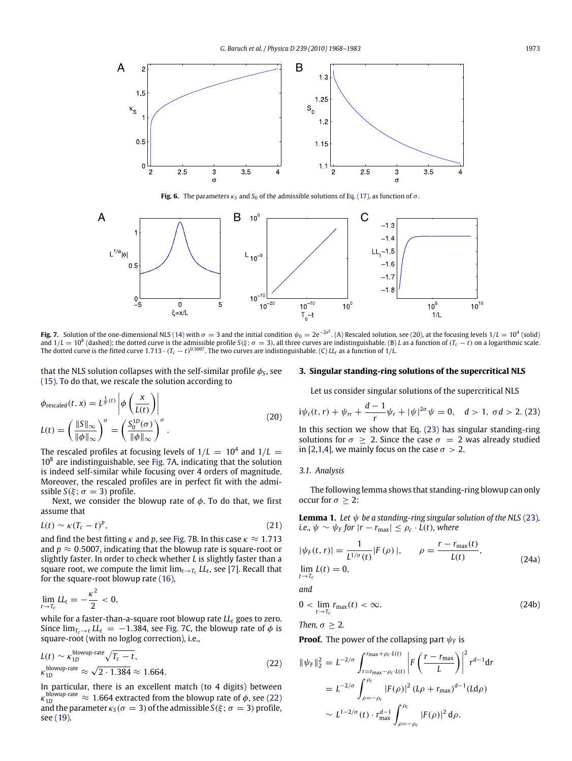<span id="page-5-2"></span>

**Fig. 6.** The parameters  $\kappa_S$  and  $S_0$  of the admissible solutions of Eq. [\(17\),](#page-4-3) as function of  $\sigma$ .

<span id="page-5-4"></span>

**Fig. 7.** Solution of the one-dimensional NLS [\(14\)](#page-4-2) with  $\sigma = 3$  and the initial condition  $\psi_0 = 2e^{-2x^2}$ . (A) Rescaled solution, see [\(20\),](#page-5-3) at the focusing levels 1/*L* = 10<sup>4</sup> (solid) and  $1/L = 10^8$  (dashed); the dotted curve is the admissible profile  $S(\xi; \sigma = 3)$ , all three curves are indistinguishable. (B) *L* as a function of (*T<sub>c</sub>* − *t*) on a logarithmic scale. The dotted curve is the fitted curve 1.713  $\cdot$  ( $T_c-t$ )<sup>0.5007</sup>. The two curves are indistinguishable. (C)  $L$ <sub>t</sub> as a function of 1/*L*.

that the NLS solution collapses with the self-similar profile  $\phi_{\text{\tiny S}}$ , see [\(15\).](#page-4-6) To do that, we rescale the solution according to

$$
\phi_{\text{rescaled}}(t, x) = L^{\frac{1}{\sigma}(t)} \left| \phi \left( \frac{x}{L(t)} \right) \right|
$$
\n
$$
L(t) = \left( \frac{\|S\|_{\infty}}{\|\phi\|_{\infty}} \right)^{\sigma} = \left( \frac{S_0^{1D}(\sigma)}{\|\phi\|_{\infty}} \right)^{\sigma} .
$$
\n(20)

The rescaled profiles at focusing levels of  $1/L = 10^4$  and  $1/L = 10^4$  $10<sup>8</sup>$  are indistinguishable, see [Fig. 7A](#page-5-4), indicating that the solution is indeed self-similar while focusing over 4 orders of magnitude. Moreover, the rescaled profiles are in perfect fit with the admissible *S*( $\xi$ ;  $\sigma$  = 3) profile.

Next, we consider the blowup rate of  $\phi$ . To do that, we first assume that

$$
L(t) \sim \kappa (T_c - t)^p, \tag{21}
$$

and find the best fitting  $\kappa$  and  $p$ , see [Fig. 7B](#page-5-4). In this case  $\kappa \approx 1.713$ and  $p \approx 0.5007$ , indicating that the blowup rate is square-root or slightly faster. In order to check whether *L* is slightly faster than a square root, we compute the limit  $\lim_{t\to T_c} LL_t$ , see [\[7\]](#page-15-4). Recall that for the square-root blowup rate [\(16\),](#page-4-4)

$$
\lim_{t\to T_c}LL_t=-\frac{\kappa^2}{2}<0,
$$

while for a faster-than-a-square root blowup rate *LL<sup>t</sup>* goes to zero. Since  $\lim_{T_c \to t} L_t = -1.384$ , see [Fig. 7C](#page-5-4), the blowup rate of  $\phi$  is square-root (with no loglog correction), i.e.,

$$
L(t) \sim \kappa_{1D}^{\text{blown}} + \text{rate} \sqrt{T_c - t},
$$
  
\n
$$
\kappa_{1D}^{\text{blown}} + \text{rate} \approx \sqrt{2 \cdot 1.384} \approx 1.664.
$$
\n(22)

In particular, there is an excellent match (to 4 digits) between  $\kappa_{\rm 1D}^{\rm blowup-rate} \approx 1.664$  extracted from the blowup rate of  $\phi$ , see [\(22\)](#page-5-5) and the parameter  $\kappa_S(\sigma = 3)$  of the admissible  $S(\xi; \sigma = 3)$  profile, see [\(19\).](#page-4-7)

## <span id="page-5-1"></span>**3. Singular standing-ring solutions of the supercritical NLS**

<span id="page-5-6"></span>Let us consider singular solutions of the supercritical NLS

<span id="page-5-3"></span>
$$
i\psi_t(t,r) + \psi_{rr} + \frac{d-1}{r}\psi_r + |\psi|^{2\sigma}\psi = 0, \quad d > 1, \ \sigma d > 2. \tag{23}
$$

In this section we show that Eq. [\(23\)](#page-5-6) has singular standing-ring solutions for  $\sigma \geq 2$ . Since the case  $\sigma = 2$  was already studied in [\[2,](#page-15-1)[1,](#page-15-0)[4\]](#page-15-5), we mainly focus on the case  $\sigma > 2$ .

#### <span id="page-5-0"></span>*3.1. Analysis*

The following lemma shows that standing-ring blowup can only occur for  $\sigma > 2$ :

<span id="page-5-7"></span>**Lemma 1.** *Let*  $\psi$  *be a standing-ring singular solution of the NLS* [\(23\)](#page-5-6)*, i.e.,*  $\psi \sim \psi_F$  for  $|r - r_{\text{max}}| \le \rho_c \cdot L(t)$ *, where* 

<span id="page-5-8"></span>
$$
|\psi_F(t,r)| = \frac{1}{L^{1/\sigma}(t)} |F(\rho)|, \qquad \rho = \frac{r - r_{\text{max}}(t)}{L(t)},
$$
  

$$
\lim_{t \to T_c} L(t) = 0,
$$
 (24a)

*and*

$$
0 < \lim_{t \to T_c} r_{\text{max}}(t) < \infty. \tag{24b}
$$

*Then,*  $\sigma \geq 2$ *.* 

**Proof.** The power of the collapsing part  $\psi_F$  is

<span id="page-5-5"></span>
$$
\|\psi_F\|_2^2 = L^{-2/\sigma} \int_{r=r_{\text{max}}-\rho_c \cdot L(t)}^{r_{\text{max}}+\rho_c \cdot L(t)} \left| F\left(\frac{r-r_{\text{max}}}{L}\right) \right|^2 r^{d-1} dr
$$
  
=  $L^{-2/\sigma} \int_{\rho=-\rho_c}^{\rho_c} |F(\rho)|^2 (L\rho + r_{\text{max}})^{d-1} (Ld\rho)$   
 $\sim L^{1-2/\sigma} (t) \cdot r_{\text{max}}^{d-1} \int_{\rho=-\rho_c}^{\rho_c} |F(\rho)|^2 d\rho.$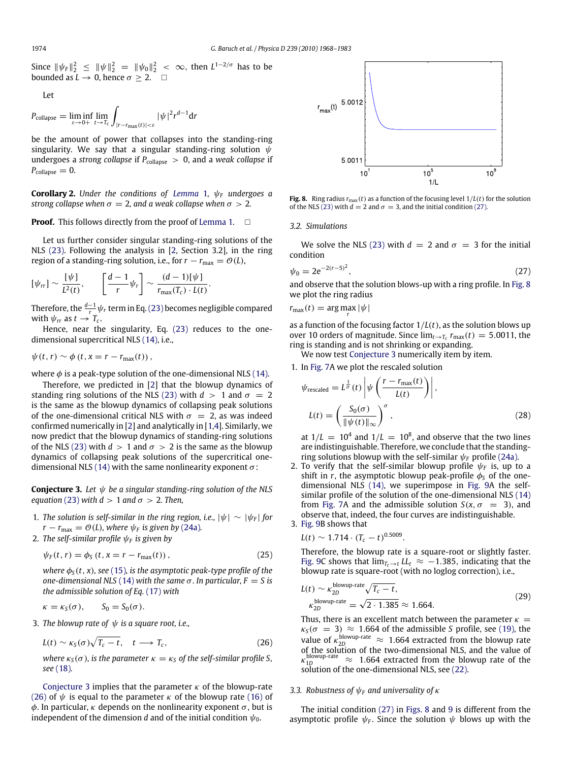Since  $\|\psi_F\|_2^2 \le \|\psi\|_2^2 = \|\psi_0\|_2^2 < \infty$ , then  $L^{1-2/\sigma}$  has to be bounded as  $L \to 0$ , hence  $\sigma \geq 2$ .  $\Box$ 

Let

$$
P_{\text{collapse}} = \liminf_{\varepsilon \to 0+} \lim_{t \to T_c} \int_{|r - r_{\text{max}}(t)| < \varepsilon} |\psi|^2 r^{d-1} dr
$$

be the amount of power that collapses into the standing-ring singularity. We say that a singular standing-ring solution  $\psi$ undergoes a *strong collapse* if  $P_{\text{collapse}} > 0$ , and a *weak collapse* if  $P_{\text{collapse}} = 0.$ 

**Corollary 2.** *Under the conditions of [Lemma](#page-5-7) 1,*  $\psi_F$  *undergoes a strong collapse when*  $\sigma = 2$ , and a weak collapse when  $\sigma > 2$ .

**Proof.** This follows directly from the proof of [Lemma 1.](#page-5-7)  $\Box$ 

Let us further consider singular standing-ring solutions of the NLS [\(23\).](#page-5-6) Following the analysis in [\[2,](#page-15-1) Section 3.2], in the ring region of a standing-ring solution, i.e., for  $r - r_{\text{max}} = \mathcal{O}(L)$ ,

$$
[\psi_{rr}] \sim \frac{[\psi]}{L^2(t)}, \qquad \left[\frac{d-1}{r}\psi_r\right] \sim \frac{(d-1)[\psi]}{r_{\max}(T_c) \cdot L(t)}.
$$

Therefore, the  $\frac{d-1}{r_-}\psi_r$  term in Eq. (23) becomes negligible compared with  $\psi_{rr}$  as  $t \to T_c$ .

Hence, near the singularity, Eq. [\(23\)](#page-5-6) reduces to the onedimensional supercritical NLS [\(14\),](#page-4-2) i.e.,

$$
\psi(t,r) \sim \phi(t, x = r - r_{\text{max}}(t)),
$$

where  $\phi$  is a peak-type solution of the one-dimensional NLS [\(14\).](#page-4-2)

Therefore, we predicted in [\[2\]](#page-15-1) that the blowup dynamics of standing ring solutions of the NLS [\(23\)](#page-5-6) with  $d > 1$  and  $\sigma = 2$ is the same as the blowup dynamics of collapsing peak solutions of the one-dimensional critical NLS with  $\sigma = 2$ , as was indeed confirmed numerically in [\[2\]](#page-15-1) and analytically in [\[1](#page-15-0)[,4\]](#page-15-5). Similarly, we now predict that the blowup dynamics of standing-ring solutions of the NLS [\(23\)](#page-5-6) with  $d > 1$  and  $\sigma > 2$  is the same as the blowup dynamics of collapsing peak solutions of the supercritical one-dimensional NLS [\(14\)](#page-4-2) with the same nonlinearity exponent  $\sigma$ :

<span id="page-6-2"></span>**Conjecture 3.** *Let* ψ *be a singular standing-ring solution of the NLS equation* [\(23\)](#page-5-6) *with*  $d > 1$  *and*  $\sigma > 2$ *. Then,* 

- 1. *The solution is self-similar in the ring region, i.e.,*  $|\psi| \sim |\psi_F|$  *for*  $r - r_{\text{max}} = \mathcal{O}(L)$ , where  $\psi_F$  is given by [\(24a\)](#page-5-8).
- 2. *The self-similar profile*  $\psi_F$  *is given by*

$$
\psi_F(t,r) = \phi_S(t, x = r - r_{\text{max}}(t)),\tag{25}
$$

*where*  $\phi_S(t, x)$ *, see* [\(15\)](#page-4-6)*, is the asymptotic peak-type profile of the one-dimensional NLS* [\(14\)](#page-4-2) *with the same*  $\sigma$ *. In particular, F = S is the admissible solution of Eq.* [\(17\)](#page-4-3) *with*

$$
\kappa = \kappa_S(\sigma), \qquad S_0 = S_0(\sigma).
$$

3. *The blowup rate of*  $\psi$  *is a square root, i.e.,* 

$$
L(t) \sim \kappa_S(\sigma) \sqrt{T_c - t}, \quad t \longrightarrow T_c, \tag{26}
$$

*where*  $\kappa_S(\sigma)$ , *is the parameter*  $\kappa = \kappa_S$  *of the self-similar profile S*, *see* [\(18\)](#page-4-8)*.*

[Conjecture 3](#page-6-2) implies that the parameter  $\kappa$  of the blowup-rate [\(26\)](#page-6-3) of  $\psi$  is equal to the parameter  $\kappa$  of the blowup rate [\(16\)](#page-4-4) of  $\phi$ . In particular,  $\kappa$  depends on the nonlinearity exponent  $\sigma$ , but is independent of the dimension *d* and of the initial condition  $\psi_0$ .

<span id="page-6-5"></span>

**Fig. 8.** Ring radius  $r_{\text{max}}(t)$  as a function of the focusing level  $1/L(t)$  for the solution of the NLS [\(23\)](#page-5-6) with  $d = 2$  and  $\sigma = 3$ , and the initial condition [\(27\).](#page-6-4)

## <span id="page-6-0"></span>*3.2. Simulations*

We solve the NLS [\(23\)](#page-5-6) with  $d = 2$  and  $\sigma = 3$  for the initial condition

<span id="page-6-4"></span>
$$
\psi_0 = 2e^{-2(r-5)^2},\tag{27}
$$

and observe that the solution blows-up with a ring profile. In [Fig. 8](#page-6-5) we plot the ring radius

$$
r_{\max}(t) = \arg\max_{r} |\psi|
$$

as a function of the focusing factor 1/*L*(*t*), as the solution blows up over 10 orders of magnitude. Since  $\lim_{t\to T_c} r_{\text{max}}(t) = 5.0011$ , the ring is standing and is not shrinking or expanding.

We now test [Conjecture 3](#page-6-2) numerically item by item.

1. In [Fig. 7A](#page-5-4) we plot the rescaled solution

<span id="page-6-6"></span>
$$
\psi_{\text{rescaled}} = L^{\frac{1}{\sigma}}(t) \left| \psi \left( \frac{r - r_{\text{max}}(t)}{L(t)} \right) \right|,
$$
  

$$
L(t) = \left( \frac{S_0(\sigma)}{\|\psi(t)\|_{\infty}} \right)^{\sigma},
$$
 (28)

at  $1/L = 10^4$  and  $1/L = 10^8$ , and observe that the two lines are indistinguishable. Therefore, we conclude that the standingring solutions blowup with the self-similar  $\psi_F$  profile [\(24a\).](#page-5-8)

2. To verify that the self-similar blowup profile  $\psi_F$  is, up to a shift in *r*, the asymptotic blowup peak-profile  $\phi_s$  of the onedimensional NLS [\(14\),](#page-4-2) we superimpose in [Fig. 9A](#page-7-1) the selfsimilar profile of the solution of the one-dimensional NLS [\(14\)](#page-4-2) from [Fig. 7A](#page-5-4) and the admissible solution  $S(x, \sigma = 3)$ , and observe that, indeed, the four curves are indistinguishable. 3. [Fig. 9B](#page-7-1) shows that

$$
L(t) \sim 1.714 \cdot (T_c - t)^{0.5009}.
$$

<span id="page-6-8"></span>Therefore, the blowup rate is a square-root or slightly faster. [Fig. 9C](#page-7-1) shows that  $\lim_{T_c \to t} L_t \approx -1.385$ , indicating that the blowup rate is square-root (with no loglog correction), i.e.,

<span id="page-6-7"></span>
$$
L(t) \sim \kappa_{2D}^{\text{blowup-rate}} \sqrt{T_c - t},
$$
  
\n
$$
\kappa_{2D}^{\text{blowup-rate}} = \sqrt{2 \cdot 1.385} \approx 1.664.
$$
 (29)

<span id="page-6-3"></span>Thus, there is an excellent match between the parameter  $\kappa =$  $\kappa_S(\sigma = 3) \approx 1.664$  of the admissible *S* profile, see [\(19\),](#page-4-7) the value of  $\kappa_{2D}^{\text{blowup-rate}} \approx 1.664$  extracted from the blowup rate of the solution of the two-dimensional NLS, and the value of  $\kappa_{1D}^{\text{blown}}$ <sup>2</sup>  $\approx$  1.664 extracted from the blowup rate of the solution of the one-dimensional NLS, see [\(22\).](#page-5-5)

## <span id="page-6-1"></span>*3.3. Robustness of* ψ*<sup>F</sup> and universality of* κ

The initial condition [\(27\)](#page-6-4) in [Figs. 8](#page-6-5) and [9](#page-7-1) is different from the asymptotic profile  $\psi_F$ . Since the solution  $\psi$  blows up with the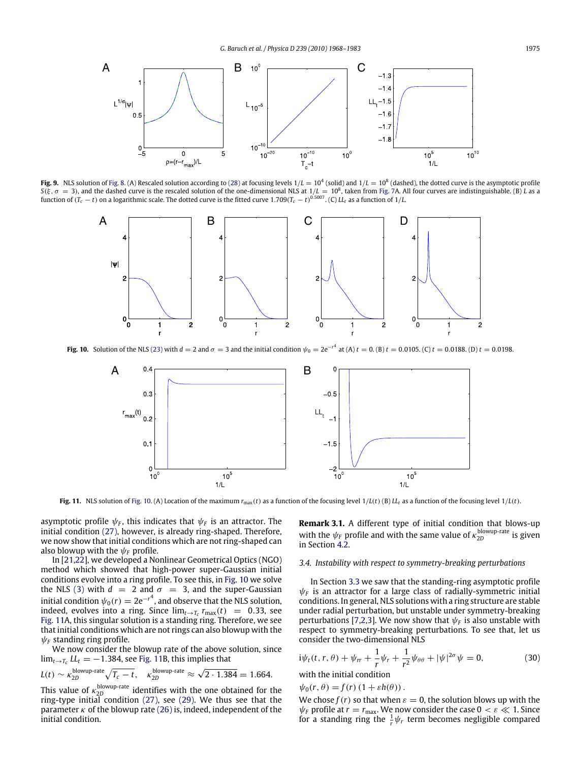<span id="page-7-1"></span>

<span id="page-7-2"></span>**Fig. 9.** NLS solution of [Fig. 8.](#page-6-5) (A) Rescaled solution according to [\(28\)](#page-6-6) at focusing levels  $1/L = 10^4$  (solid) and  $1/L = 10^8$  (dashed), the dotted curve is the asymptotic profile  $S(\xi, \sigma = 3)$ , and the dashed curve is the rescaled solution of the one-dimensional NLS at  $1/L = 10^8$ , taken from [Fig. 7A](#page-5-4). All four curves are indistinguishable. (B) L as a function of  $(T_c - t)$  on a logarithmic scale. The d



<span id="page-7-3"></span>**Fig. 10.** Solution of the NLS [\(23\)](#page-5-6) with  $d = 2$  and  $\sigma = 3$  and the initial condition  $\psi_0 = 2e^{-t^4}$  at (A)  $t = 0.018$ . (C)  $t = 0.0188$ . (D)  $t = 0.0198$ .



Fig. 11. NLS solution of [Fig. 10.](#page-7-2) (A) Location of the maximum  $r_{\text{max}}(t)$  as a function of the focusing level  $1/L(t)$  (B)  $LL_t$  as a function of the focusing level  $1/L(t)$ .

asymptotic profile  $\psi_F$ , this indicates that  $\psi_F$  is an attractor. The initial condition [\(27\),](#page-6-4) however, is already ring-shaped. Therefore, we now show that initial conditions which are not ring-shaped can also blowup with the  $\psi_F$  profile.

In [\[21](#page-15-20)[,22\]](#page-15-21), we developed a Nonlinear Geometrical Optics (NGO) method which showed that high-power super-Gaussian initial conditions evolve into a ring profile. To see this, in [Fig. 10](#page-7-2) we solve the NLS [\(3\)](#page-0-3) with  $d = 2$  and  $\sigma = 3$ , and the super-Gaussian initial condition  $\psi_0(r)=2\text{e}^{-r^4}$ , and observe that the NLS solution, indeed, evolves into a ring. Since  $\lim_{t\to T_c} r_{\text{max}}(t) = 0.33$ , see [Fig. 11A](#page-7-3), this singular solution is a standing ring. Therefore, we see that initial conditions which are not rings can also blowup with the  $\psi_F$  standing ring profile.

We now consider the blowup rate of the above solution, since  $\lim_{t\to T_c} L_t = -1.384$ , see [Fig. 11B](#page-7-3), this implies that

$$
L(t) \sim \kappa_{2D}^{\text{blowup-rate}} \sqrt{T_c - t}, \quad \kappa_{2D}^{\text{blowup-rate}} \approx \sqrt{2 \cdot 1.384} = 1.664.
$$

This value of  $\kappa_{2D}^{\rm blowup-rate}$  identifies with the one obtained for the ring-type initial condition  $(27)$ , see  $(29)$ . We thus see that the parameter  $\kappa$  of the blowup rate [\(26\)](#page-6-3) is, indeed, independent of the initial condition.

**Remark 3.1.** A different type of initial condition that blows-up with the  $\psi_F$  profile and with the same value of  $\kappa_{2D}^{\text{blowup-rate}}$  is given in Section [4.2.](#page-9-1)

#### <span id="page-7-0"></span>*3.4. Instability with respect to symmetry-breaking perturbations*

In Section [3.3](#page-6-1) we saw that the standing-ring asymptotic profile  $\psi_F$  is an attractor for a large class of radially-symmetric initial conditions. In general, NLS solutions with a ring structure are stable under radial perturbation, but unstable under symmetry-breaking perturbations [\[7,](#page-15-4)[2,](#page-15-1)[3\]](#page-15-6). We now show that  $\psi_F$  is also unstable with respect to symmetry-breaking perturbations. To see that, let us consider the two-dimensional NLS

<span id="page-7-4"></span>
$$
i\psi_t(t, r, \theta) + \psi_{rr} + \frac{1}{r}\psi_r + \frac{1}{r^2}\psi_{\theta\theta} + |\psi|^{2\sigma}\psi = 0,
$$
 (30)

with the initial condition

$$
\psi_0(r,\theta) = f(r) (1 + \varepsilon h(\theta)).
$$

We chose  $f(r)$  so that when  $\varepsilon = 0$ , the solution blows up with the  $\psi_F$  profile at  $r = r_{\text{max}}$ . We now consider the case  $0 < \varepsilon \ll 1$ . Since for a standing ring the  $\frac{1}{r}\psi_r$  term becomes negligible compared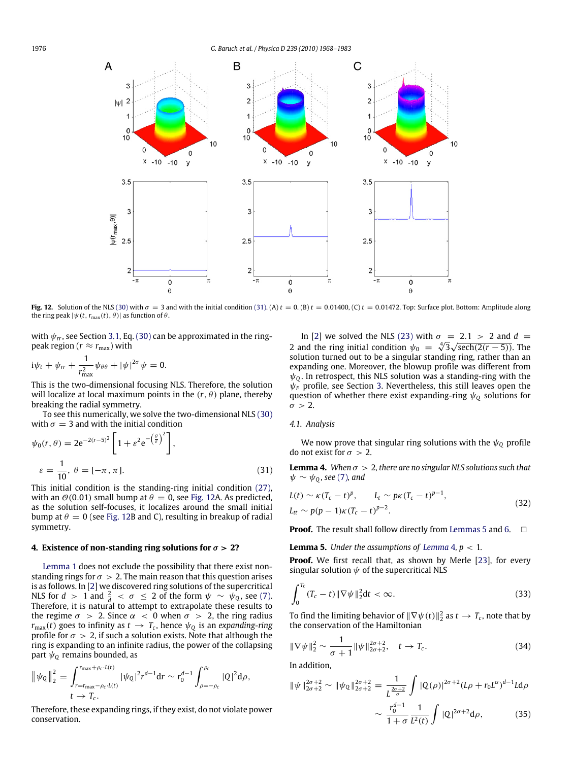<span id="page-8-2"></span>

**Fig. 12.** Solution of the NLS [\(30\)](#page-7-4) with  $\sigma = 3$  and with the initial condition [\(31\).](#page-8-1) (A)  $t = 0$ . (B)  $t = 0.01400$ , (C)  $t = 0.01472$ . Top: Surface plot. Bottom: Amplitude along the ring peak  $|\psi(t, r_{\text{max}}(t), \theta)|$  as function of  $\theta$ .

with  $\psi_{rr}$ , see Section [3.1,](#page-5-0) Eq. [\(30\)](#page-7-4) can be approximated in the ringpeak region ( $r \approx r_{\text{max}}$ ) with

$$
i\psi_t + \psi_{rr} + \frac{1}{r_{\text{max}}^2}\psi_{\theta\theta} + |\psi|^{2\sigma}\psi = 0.
$$

This is the two-dimensional focusing NLS. Therefore, the solution will localize at local maximum points in the  $(r, \theta)$  plane, thereby breaking the radial symmetry.

To see this numerically, we solve the two-dimensional NLS [\(30\)](#page-7-4) with  $\sigma = 3$  and with the initial condition

$$
\psi_0(r,\theta) = 2e^{-2(r-5)^2} \left[ 1 + \varepsilon^2 e^{-\left(\frac{\theta}{\varepsilon}\right)^2} \right],
$$
  

$$
\varepsilon = \frac{1}{10}, \ \theta = [-\pi, \pi].
$$
 (31)

This initial condition is the standing-ring initial condition [\(27\),](#page-6-4) with an  $\vartheta$ (0.01) small bump at  $\theta = 0$ , see [Fig. 12A](#page-8-2). As predicted, as the solution self-focuses, it localizes around the small initial bump at  $\theta = 0$  (see [Fig. 12B](#page-8-2) and C), resulting in breakup of radial symmetry.

#### <span id="page-8-0"></span>**4. Existence of non-standing ring solutions for**  $\sigma > 2$ ?

[Lemma 1](#page-5-7) does not exclude the possibility that there exist nonstanding rings for  $\sigma > 2$ . The main reason that this question arises is as follows. In [\[2\]](#page-15-1) we discovered ring solutions of the supercritical NLS for  $d > 1$  and  $\frac{2}{d} < \sigma \leq 2$  of the form  $\psi \sim \psi_Q$ , see [\(7\).](#page-1-7) Therefore, it is natural to attempt to extrapolate these results to the regime  $\sigma > 2$ . Since  $\alpha < 0$  when  $\sigma > 2$ , the ring radius  $r_{\text{max}}(t)$  goes to infinity as  $t\,\rightarrow\, T_c$ , hence  $\psi_{\text{Q}}$  is an *expanding-ring* profile for  $\sigma > 2$ , if such a solution exists. Note that although the ring is expanding to an infinite radius, the power of the collapsing part  $\psi_0$  remains bounded, as

$$
\|\psi_{Q}\|_{2}^{2} = \int_{r=r_{\text{max}}-\rho_{c}\cdot L(t)}^{r_{\text{max}}+\rho_{c}\cdot L(t)} |\psi_{Q}|^{2} r^{d-1} dr \sim r_{0}^{d-1} \int_{\rho=-\rho_{c}}^{\rho_{c}} |Q|^{2} d\rho, \nt \to T_{c}.
$$

Therefore, these expanding rings, if they exist, do not violate power conservation.

In [\[2\]](#page-15-1) we solved the NLS [\(23\)](#page-5-6) with  $\sigma = 2.1 > 2$  and  $d =$ <br>and the ring initial condition  $d_f = \frac{4/2}{\sqrt{2}} \sqrt{\cosh(2(x - 5))}$ . 2 and the ring initial condition  $\psi_0 = \sqrt[4]{3}\sqrt{\text{sech}(2(r-5))}$ . The solution turned out to be a singular standing ring, rather than an expanding one. Moreover, the blowup profile was different from  $\psi_0$ . In retrospect, this NLS solution was a standing-ring with the  $\psi_F$  profile, see Section [3.](#page-5-1) Nevertheless, this still leaves open the question of whether there exist expanding-ring ψ*<sup>Q</sup>* solutions for  $\sigma > 2$ .

#### *4.1. Analysis*

We now prove that singular ring solutions with the  $\psi_{\mathcal{Q}}$  profile do not exist for  $\sigma > 2$ .

<span id="page-8-5"></span><span id="page-8-4"></span><span id="page-8-1"></span>**Lemma 4.** *When*  $\sigma > 2$ , there are no singular NLS solutions such that  $\psi \sim \psi_0$ , see [\(7\)](#page-1-7), and

$$
L(t) \sim \kappa (T_c - t)^p, \qquad L_t \sim p\kappa (T_c - t)^{p-1},
$$
  
\n
$$
L_{tt} \sim p(p-1)\kappa (T_c - t)^{p-2}.
$$
\n(32)

**Proof.** The result shall follow directly from [Lemmas 5](#page-8-3) and [6.](#page-9-2) □

<span id="page-8-3"></span>**[Lemma](#page-8-4) 5.** *Under the assumptions of Lemma 4,*  $p < 1$ *.* 

**Proof.** We first recall that, as shown by Merle [\[23\]](#page-15-22), for every singular solution  $\psi$  of the supercritical NLS

<span id="page-8-8"></span>
$$
\int_0^{T_c} (T_c - t) \|\nabla \psi\|_2^2 dt < \infty.
$$
 (33)

To find the limiting behavior of  $\|\nabla\psi(t)\|_2^2$  as  $t\to T_c$ , note that by the conservation of the Hamiltonian

<span id="page-8-6"></span>
$$
\|\nabla\psi\|_2^2 \sim \frac{1}{\sigma+1} \|\psi\|_{2\sigma+2}^{2\sigma+2}, \quad t \to T_c.
$$
 (34)

In addition,

<span id="page-8-7"></span>
$$
\|\psi\|_{2\sigma+2}^{2\sigma+2} \sim \|\psi_{Q}\|_{2\sigma+2}^{2\sigma+2} = \frac{1}{L^{\frac{2\sigma+2}{\sigma}}} \int |Q(\rho)|^{2\sigma+2} (L\rho + r_0 L^{\alpha})^{d-1} L d\rho
$$

$$
\sim \frac{r_0^{d-1}}{1+\sigma} \frac{1}{L^2(t)} \int |Q|^{2\sigma+2} d\rho, \qquad (35)
$$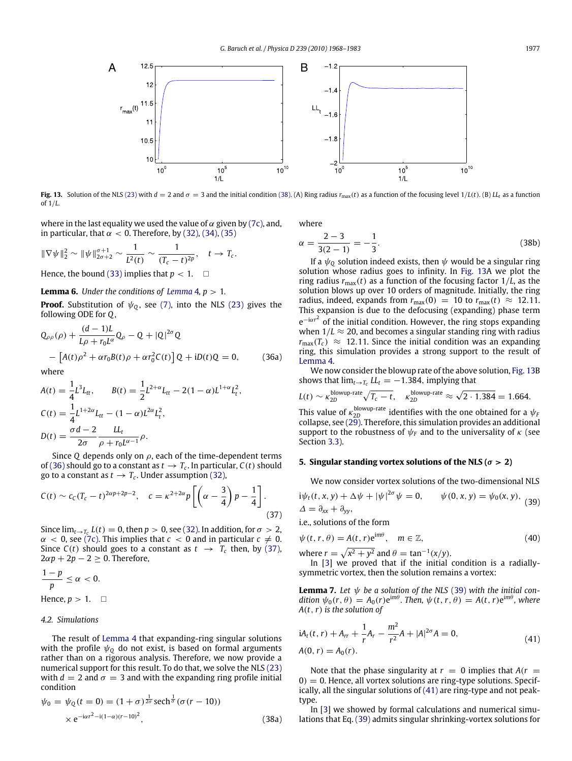<span id="page-9-6"></span>

Fig. 13. Solution of the NLS [\(23\)](#page-5-6) with  $d = 2$  and  $\sigma = 3$  and the initial condition [\(38\).](#page-9-3) (A) Ring radius  $r_{\text{max}}(t)$  as a function of the focusing level  $1/L(t)$ . (B)  $LL_t$  as a function of 1/*L*.

where in the last equality we used the value of  $\alpha$  given by [\(7c\),](#page-1-4) and, in particular, that  $\alpha < 0$ . Therefore, by [\(32\),](#page-8-5) [\(34\),](#page-8-6) [\(35\)](#page-8-7)

$$
\|\nabla\psi\|_2^2 \sim \|\psi\|_{2\sigma+2}^{\sigma+1} \sim \frac{1}{L^2(t)} \sim \frac{1}{(T_c-t)^{2p}}, \quad t \to T_c.
$$

Hence, the bound [\(33\)](#page-8-8) implies that  $p < 1$ .  $\Box$ 

## <span id="page-9-2"></span>**[Lemma](#page-8-4) 6.** *Under the conditions of Lemma 4,*  $p > 1$ *.*

**Proof.** Substitution of  $\psi_0$ , see [\(7\),](#page-1-7) into the NLS [\(23\)](#page-5-6) gives the following ODE for *Q*,

<span id="page-9-4"></span>
$$
Q_{\rho\rho}(\rho) + \frac{(d-1)L}{L\rho + r_0L^{\alpha}} Q_{\rho} - Q + |Q|^{2\sigma} Q
$$
  
– [A(t)\rho<sup>2</sup> + \alpha r\_0B(t)\rho + \alpha r\_0<sup>2</sup>C(t)] Q + iD(t)Q = 0, (36a)

where

$$
A(t) = \frac{1}{4}L^3 L_{tt}, \qquad B(t) = \frac{1}{2}L^{2+\alpha} L_{tt} - 2(1-\alpha)L^{1+\alpha}L_t^2,
$$
  
\n
$$
C(t) = \frac{1}{4}L^{1+2\alpha}L_{tt} - (1-\alpha)L^{2\alpha}L_t^2,
$$
  
\n
$$
D(t) = \frac{\sigma d - 2}{2\sigma} \frac{L L_t}{\rho + r_0 L^{\alpha - 1}} \rho.
$$

Since Q depends only on  $\rho$ , each of the time-dependent terms of [\(36\)](#page-9-4) should go to a constant as  $t \to T_c$ . In particular,  $C(t)$  should go to a constant as  $t \to T_c$ . Under assumption [\(32\),](#page-8-5)

$$
C(t) \sim c_C (T_c - t)^{2\alpha p + 2p - 2}, \quad c = \kappa^{2 + 2\alpha} p \left[ \left( \alpha - \frac{3}{4} \right) p - \frac{1}{4} \right]. \tag{37}
$$

Since  $\lim_{t\to T_c} L(t) = 0$ , then  $p > 0$ , see [\(32\).](#page-8-5) In addition, for  $\sigma > 2$ ,  $\alpha$  < 0, see [\(7c\).](#page-1-4) This implies that  $c$  < 0 and in particular  $c \neq 0$ . Since  $C(t)$  should goes to a constant as  $t \rightarrow T_c$  then, by [\(37\),](#page-9-5)  $2\alpha p + 2p - 2 \geq 0$ . Therefore,

$$
\frac{1-p}{p} \le \alpha < 0.
$$
\nHence,  $p > 1$ .

#### <span id="page-9-1"></span>*4.2. Simulations*

The result of [Lemma 4](#page-8-4) that expanding-ring singular solutions with the profile  $\psi_0$  do not exist, is based on formal arguments rather than on a rigorous analysis. Therefore, we now provide a numerical support for this result. To do that, we solve the NLS [\(23\)](#page-5-6) with  $d = 2$  and  $\sigma = 3$  and with the expanding ring profile initial condition

<span id="page-9-3"></span>
$$
\psi_0 = \psi_0(t=0) = (1+\sigma)^{\frac{1}{2\sigma}} \operatorname{sech}^{\frac{1}{\sigma}}(\sigma(r-10))
$$
  
× e<sup>-i\alpha r^2-i(1-\alpha)(r-10)^2</sup>, (38a)

where

$$
\alpha = \frac{2-3}{3(2-1)} = -\frac{1}{3}.\tag{38b}
$$

If a  $\psi_0$  solution indeed exists, then  $\psi$  would be a singular ring solution whose radius goes to infinity. In [Fig. 13A](#page-9-6) we plot the ring radius  $r_{\text{max}}(t)$  as a function of the focusing factor  $1/L$ , as the solution blows up over 10 orders of magnitude. Initially, the ring radius, indeed, expands from  $r_{\text{max}}(0) = 10$  to  $r_{\text{max}}(t) \approx 12.11$ . This expansion is due to the defocusing (expanding) phase term e<sup>−iαr<sup>2</sup> of the initial condition. However, the ring stops expanding</sup> when  $1/L \approx 20$ , and becomes a singular standing ring with radius  $r_{\text{max}}(T_c) \approx 12.11$ . Since the initial condition was an expanding ring, this simulation provides a strong support to the result of [Lemma 4.](#page-8-4)

We now consider the blowup rate of the above solution, [Fig. 13B](#page-9-6) shows that  $\lim_{t \to T_c} LL = -1.384$ , implying that

$$
L(t) \sim \kappa_{2D}^{\text{blowup-rate}} \sqrt{T_c - t}, \quad \kappa_{2D}^{\text{blowup-rate}} \approx \sqrt{2 \cdot 1.384} = 1.664.
$$

This value of  $\kappa_{2D}^{\text{blowup-rate}}$  identifies with the one obtained for a  $\psi_F$ collapse, see  $(2\tilde{9})$ . Therefore, this simulation provides an additional support to the robustness of  $\psi_F$  and to the universality of  $\kappa$  (see Section [3.3\)](#page-6-1).

## <span id="page-9-0"></span>**5. Singular standing vortex solutions of the NLS (** $\sigma > 2$ **)**

<span id="page-9-7"></span>We now consider vortex solutions of the two-dimensional NLS

$$
i\psi_t(t, x, y) + \Delta \psi + |\psi|^{2\sigma} \psi = 0, \qquad \psi(0, x, y) = \psi_0(x, y),
$$
  

$$
\Delta = \partial_{xx} + \partial_{yy},
$$
 (39)

<span id="page-9-5"></span>i.e., solutions of the form

$$
\psi(t, r, \theta) = A(t, r)e^{im\theta}, \quad m \in \mathbb{Z}, \tag{40}
$$

where  $r = \sqrt{x^2 + y^2}$  and  $\theta = \tan^{-1}(x/y)$ .

In [\[3\]](#page-15-6) we proved that if the initial condition is a radiallysymmetric vortex, then the solution remains a vortex:

**Lemma 7.** Let  $\psi$  be a solution of the NLS [\(39\)](#page-9-7) with the initial con- $\phi_0(r,\theta) = A_0(r) e^{im\theta}$ . Then,  $\psi(t,r,\theta) = A(t,r) e^{im\theta}$ , where *A*(*t*,*r*) *is the solution of*

<span id="page-9-8"></span>
$$
iA_t(t, r) + A_{rr} + \frac{1}{r}A_r - \frac{m^2}{r^2}A + |A|^{2\sigma}A = 0,
$$
  
\n
$$
A(0, r) = A_0(r).
$$
\n(41)

Note that the phase singularity at  $r = 0$  implies that  $A(r = 1)$  $0$ ) = 0. Hence, all vortex solutions are ring-type solutions. Specifically, all the singular solutions of [\(41\)](#page-9-8) are ring-type and not peaktype.

In [\[3\]](#page-15-6) we showed by formal calculations and numerical simulations that Eq. [\(39\)](#page-9-7) admits singular shrinking-vortex solutions for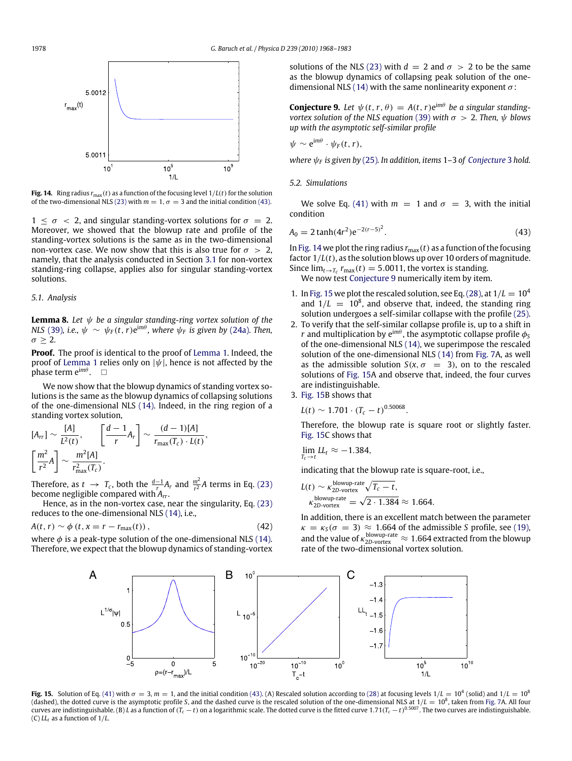<span id="page-10-1"></span>

**Fig. 14.** Ring radius  $r_{\text{max}}(t)$  as a function of the focusing level  $1/L(t)$  for the solution of the two-dimensional NLS [\(23\)](#page-5-6) with  $m = 1$ ,  $\sigma = 3$  and the initial condition [\(43\).](#page-10-0)

 $1 < \sigma < 2$ , and singular standing-vortex solutions for  $\sigma = 2$ . Moreover, we showed that the blowup rate and profile of the standing-vortex solutions is the same as in the two-dimensional non-vortex case. We now show that this is also true for  $\sigma > 2$ , namely, that the analysis conducted in Section [3.1](#page-5-0) for non-vortex standing-ring collapse, applies also for singular standing-vortex solutions.

#### *5.1. Analysis*

**Lemma 8.** *Let* ψ *be a singular standing-ring vortex solution of the NLS* [\(39\)](#page-9-7), i.e.,  $\psi \sim \psi_F(t, r) e^{im\theta}$ , where  $\psi_F$  is given by [\(24a\)](#page-5-8). Then,  $\sigma \geq 2$ .

**Proof.** The proof is identical to the proof of [Lemma 1.](#page-5-7) Indeed, the proof of [Lemma 1](#page-5-7) relies only on  $|\psi|$ , hence is not affected by the **phase term e<sup>imθ</sup>.** □

We now show that the blowup dynamics of standing vortex solutions is the same as the blowup dynamics of collapsing solutions of the one-dimensional NLS [\(14\).](#page-4-2) Indeed, in the ring region of a standing vortex solution,

$$
[A_{rr}] \sim \frac{[A]}{L^2(t)}, \qquad \left[\frac{d-1}{r}A_r\right] \sim \frac{(d-1)[A]}{r_{\text{max}}(T_c) \cdot L(t)},
$$

$$
\left[\frac{m^2}{r^2}A\right] \sim \frac{m^2[A]}{r_{\text{max}}^2(T_c)}.
$$

Therefore, as  $t \to T_c$ , both the  $\frac{d-1}{f_a} A_r$  and  $\frac{m^2}{r^2} A$  terms in Eq. [\(23\)](#page-5-6) become negligible compared with *Arr*.

Hence, as in the non-vortex case, near the singularity, Eq. [\(23\)](#page-5-6) reduces to the one-dimensional NLS [\(14\),](#page-4-2) i.e.,

$$
A(t, r) \sim \phi \left( t, x = r - r_{\text{max}}(t) \right), \tag{42}
$$

<span id="page-10-3"></span>where  $\phi$  is a peak-type solution of the one-dimensional NLS [\(14\).](#page-4-2) Therefore, we expect that the blowup dynamics of standing-vortex solutions of the NLS [\(23\)](#page-5-6) with  $d = 2$  and  $\sigma > 2$  to be the same as the blowup dynamics of collapsing peak solution of the one-dimensional NLS [\(14\)](#page-4-2) with the same nonlinearity exponent  $\sigma$ :

<span id="page-10-2"></span>**Conjecture 9.** Let  $\psi(t, r, \theta) = A(t, r) e^{im\theta}$  be a singular standing*vortex solution of the NLS equation* [\(39\)](#page-9-7) *with*  $\sigma > 2$ . *Then,*  $\psi$  *blows up with the asymptotic self-similar profile*

$$
\psi \sim e^{im\theta} \cdot \psi_F(t,r),
$$

*where* ψ*<sup>F</sup> is given by* [\(25\)](#page-6-8)*. In addition, items* 1*–*3 *of [Conjecture](#page-6-2)* 3 *hold.*

## *5.2. Simulations*

We solve Eq. [\(41\)](#page-9-8) with  $m = 1$  and  $\sigma = 3$ , with the initial condition

$$
A_0 = 2 \tanh(4r^2) e^{-2(r-5)^2}.
$$
 (43)

In [Fig. 14](#page-10-1) we plot the ring radius  $r_{\text{max}}(t)$  as a function of the focusing factor 1/*L*(*t*), as the solution blows up over 10 orders of magnitude. Since  $\lim_{t\to T_c} r_{\text{max}}(t) = 5.0011$ , the vortex is standing.

<span id="page-10-0"></span>We now test [Conjecture 9](#page-10-2) numerically item by item.

- 1. In [Fig. 15](#page-10-3) we plot the rescaled solution, see Eq. (28), at  $1/L = 10^4$ and  $1/L = 10^8$ , and observe that, indeed, the standing ring solution undergoes a self-similar collapse with the profile [\(25\).](#page-6-8)
- 2. To verify that the self-similar collapse profile is, up to a shift in  $r$  and multiplication by  ${\rm e}^{{\rm i} m \theta}$ , the asymptotic collapse profile  $\phi_{\rm S}$ of the one-dimensional NLS [\(14\),](#page-4-2) we superimpose the rescaled solution of the one-dimensional NLS [\(14\)](#page-4-2) from [Fig. 7A](#page-5-4), as well as the admissible solution  $S(x, \sigma = 3)$ , on to the rescaled solutions of [Fig. 15A](#page-10-3) and observe that, indeed, the four curves are indistinguishable. 3. [Fig. 15B](#page-10-3) shows that

$$
11g, 15b, 310w, 11a
$$

$$
L(t) \sim 1.701 \cdot (T_c - t)^{0.50068}.
$$

Therefore, the blowup rate is square root or slightly faster. [Fig. 15C](#page-10-3) shows that

$$
\lim_{T_c\to t} LL_t \approx -1.384,
$$

indicating that the blowup rate is square-root, i.e.,

$$
L(t) \sim \kappa_{\text{2D-vortex}}^{\text{blowup-rate}} \sqrt{T_c - t},
$$
  
\n
$$
\kappa_{\text{2D-vortex}}^{\text{blowup-rate}} = \sqrt{2 \cdot 1.384} \approx 1.664.
$$

In addition, there is an excellent match between the parameter  $\kappa = \kappa_S(\sigma = 3) \approx 1.664$  of the admissible *S* profile, see [\(19\),](#page-4-7) and the value of  $\kappa_{\text{2D-vortex}}^{\text{blowup-rate}} \approx 1.664$  extracted from the blowup rate of the two-dimensional vortex solution.



**Fig. 15.** Solution of Eq. [\(41\)](#page-9-8) with  $\sigma = 3$ ,  $m = 1$ , and the initial condition [\(43\).](#page-10-0) (A) Rescaled solution according to [\(28\)](#page-6-6) at focusing levels  $1/L = 10^4$  (solid) and  $1/L = 10^8$ (dashed), the dotted curve is the asymptotic profile *S*, and the dashed curve is the rescaled solution of the one-dimensional NLS at 1/*L* =  $10^8$ , taken from [Fig. 7A](#page-5-4). All four curves are indistinguishable. (B) L as a function of (T $_c$  – t) on a logarithmic scale. The dotted curve is the fitted curve 1.71(T $_c$  – t)  $^{0.5007}.$  The two curves are indistinguishable. (C) *LL<sup>t</sup>* as a function of 1/*L*.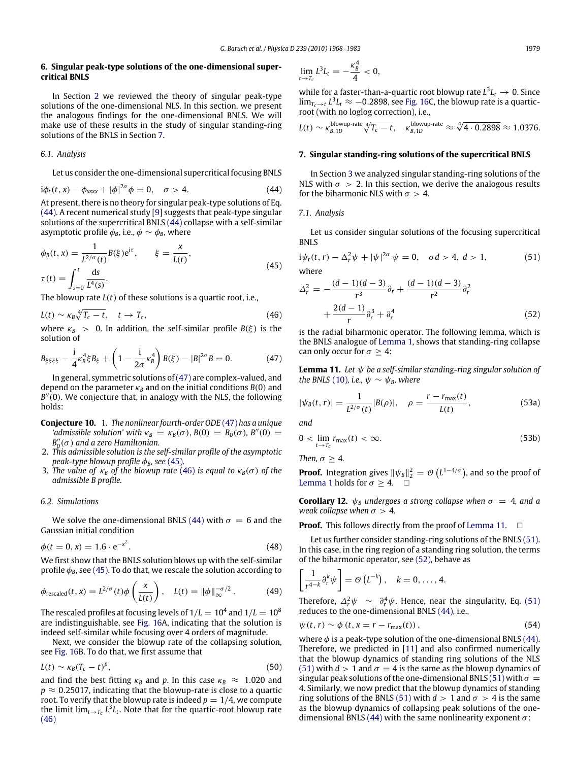#### <span id="page-11-0"></span>**6. Singular peak-type solutions of the one-dimensional supercritical BNLS**

In Section [2](#page-4-1) we reviewed the theory of singular peak-type solutions of the one-dimensional NLS. In this section, we present the analogous findings for the one-dimensional BNLS. We will make use of these results in the study of singular standing-ring solutions of the BNLS in Section [7.](#page-11-1)

#### *6.1. Analysis*

Let us consider the one-dimensional supercritical focusing BNLS

$$
i\phi_t(t, x) - \phi_{xxxx} + |\phi|^{2\sigma} \phi = 0, \quad \sigma > 4. \tag{44}
$$

At present, there is no theory for singular peak-type solutions of Eq. [\(44\).](#page-11-2) A recent numerical study [\[9\]](#page-15-8) suggests that peak-type singular solutions of the supercritical BNLS [\(44\)](#page-11-2) collapse with a self-similar asymptotic profile  $\phi_B$ , i.e.,  $\phi \sim \phi_B$ , where

$$
\phi_B(t, x) = \frac{1}{L^{2/\sigma}(t)} B(\xi) e^{i\tau}, \qquad \xi = \frac{x}{L(t)},
$$
  

$$
\tau(t) = \int_{s=0}^t \frac{ds}{L^4(s)}.
$$
 (45)

The blowup rate *L*(*t*) of these solutions is a quartic root, i.e.,

$$
L(t) \sim \kappa_B \sqrt[4]{T_c - t}, \quad t \to T_c, \tag{46}
$$

where  $\kappa_B > 0$ . In addition, the self-similar profile  $B(\xi)$  is the solution of

$$
B_{\xi\xi\xi\xi} - \frac{i}{4}\kappa_B^4 \xi B_{\xi} + \left(1 - \frac{i}{2\sigma}\kappa_B^4\right)B(\xi) - |B|^{2\sigma}B = 0. \tag{47}
$$

In general, symmetric solutions of  $(47)$  are complex-valued, and depend on the parameter  $\kappa_B$  and on the initial conditions  $B(0)$  and B<sup>"</sup>(0). We conjecture that, in analogy with the NLS, the following holds:

- **Conjecture 10.** 1. *The nonlinear fourth-order ODE* [\(47\)](#page-11-3) *has a unique 'admissible solution' with*  $\kappa_B = \kappa_B(\sigma)$ ,  $B(0) = B_0(\sigma)$ ,  $B''(0) =$  $B_0^{\prime\prime}(\sigma)$  and a zero Hamiltonian.
- 2. *This admissible solution is the self-similar profile of the asymptotic peak-type blowup profile*  $φ$ *<sub>B</sub>, see* [\(45\)](#page-11-4)*.*
- 3. *The value of*  $\kappa_B$  *of the blowup rate* [\(46\)](#page-11-5) *is equal to*  $\kappa_B(\sigma)$  *of the admissible B profile.*

## <span id="page-11-12"></span>*6.2. Simulations*

We solve the one-dimensional BNLS [\(44\)](#page-11-2) with  $\sigma = 6$  and the Gaussian initial condition

$$
\phi(t = 0, x) = 1.6 \cdot e^{-x^2}.
$$
\n(48)

We first show that the BNLS solution blows up with the self-similar profile  $\phi_B$ , see [\(45\).](#page-11-4) To do that, we rescale the solution according to

$$
\phi_{\text{rescaled}}(t, x) = L^{2/\sigma}(t) \phi\left(\frac{x}{L(t)}\right), \quad L(t) = \|\phi\|_{\infty}^{-\sigma/2}.
$$
 (49)

The rescaled profiles at focusing levels of  $1/L=10^4$  and  $1/L=10^8$ are indistinguishable, see [Fig. 16A](#page-12-0), indicating that the solution is indeed self-similar while focusing over 4 orders of magnitude.

Next, we consider the blowup rate of the collapsing solution, see [Fig. 16B](#page-12-0). To do that, we first assume that

$$
L(t) \sim \kappa_B (T_c - t)^p, \tag{50}
$$

and find the best fitting  $\kappa_B$  and p. In this case  $\kappa_B \approx 1.020$  and *p* ≈ 0.25017, indicating that the blowup-rate is close to a quartic root. To verify that the blowup rate is indeed  $p = 1/4$ , we compute the limit  $\lim_{t\to T_c}L^3L_t.$  Note that for the quartic-root blowup rate [\(46\)](#page-11-5)

$$
\lim_{t\to T_c}L^3L_t=-\frac{\kappa_B^4}{4}<0,
$$

while for a faster-than-a-quartic root blowup rate  $L^3L_t \to 0$ . Since  $\lim_{T_c\to t} L^3L_t$  ≈ −0.2898, see [Fig. 16C](#page-12-0), the blowup rate is a quarticroot (with no loglog correction), i.e.,

$$
L(t) \sim \kappa_{B,1D}^{\text{blowup-rate}} \sqrt[4]{T_c - t}, \quad \kappa_{B,1D}^{\text{blowup-rate}} \approx \sqrt[4]{4 \cdot 0.2898} \approx 1.0376.
$$

#### <span id="page-11-1"></span>**7. Singular standing-ring solutions of the supercritical BNLS**

<span id="page-11-2"></span>In Section [3](#page-5-1) we analyzed singular standing-ring solutions of the NLS with  $\sigma > 2$ . In this section, we derive the analogous results for the biharmonic NLS with  $\sigma > 4$ .

#### *7.1. Analysis*

Let us consider singular solutions of the focusing supercritical BNLS

<span id="page-11-4"></span>
$$
i\psi_t(t,r) - \Delta_t^2 \psi + |\psi|^{2\sigma} \psi = 0, \quad \sigma d > 4, \ d > 1,
$$
 (51)  
where

<span id="page-11-11"></span><span id="page-11-8"></span><span id="page-11-7"></span>(*d* − 1)(*d* − 3)

$$
\mathsf{HCE} = \mathsf{G}
$$

$$
\Delta_r^2 = -\frac{(d-1)(d-3)}{r^3} \partial_r + \frac{(d-1)(d-3)}{r^2} \partial_r^2 + \frac{2(d-1)}{r} \partial_r^3 + \partial_r^4 \tag{52}
$$

<span id="page-11-5"></span><span id="page-11-3"></span>is the radial biharmonic operator. The following lemma, which is the BNLS analogue of [Lemma 1,](#page-5-7) shows that standing-ring collapse can only occur for  $\sigma \geq 4$ :

<span id="page-11-6"></span>**Lemma 11.** *Let* ψ *be a self-similar standing-ring singular solution of the BNLS* [\(10\)](#page-2-3)*, i.e.,*  $\psi \sim \psi_B$ *, where* 

$$
|\psi_B(t,r)| = \frac{1}{L^{2/\sigma}(t)}|B(\rho)|, \quad \rho = \frac{r - r_{\text{max}}(t)}{L(t)},
$$
\n(53a)

*and*

$$
0 < \lim_{t \to T_c} r_{\text{max}}(t) < \infty. \tag{53b}
$$

*Then,*  $\sigma \geq 4$ *.* 

**Proof.** Integration gives  $\|\psi_B\|_2^2 = \mathcal{O}\left(L^{1-4/\sigma}\right)$ , and so the proof of [Lemma 1](#page-5-7) holds for  $\sigma \geq 4$ .  $\Box$ 

**Corollary 12.**  $\psi_B$  *undergoes a strong collapse when*  $\sigma = 4$ *, and a weak collapse when*  $\sigma > 4$ *.* 

**Proof.** This follows directly from the proof of [Lemma 11.](#page-11-6)  $\Box$ 

<span id="page-11-9"></span>Let us further consider standing-ring solutions of the BNLS [\(51\).](#page-11-7) In this case, in the ring region of a standing ring solution, the terms of the biharmonic operator, see [\(52\),](#page-11-8) behave as

<span id="page-11-10"></span>
$$
\left[\frac{1}{r^{4-k}}\partial_r^k\psi\right]=\mathcal{O}\left(L^{-k}\right), \quad k=0,\ldots,4.
$$

Therefore,  $\Delta_r^2 \psi \sim \partial_r^4 \psi$ . Hence, near the singularity, Eq. [\(51\)](#page-11-7) reduces to the one-dimensional BNLS [\(44\),](#page-11-2) i.e.,

$$
\psi(t,r) \sim \phi\left(t, x = r - r_{\text{max}}(t)\right),\tag{54}
$$

where  $\phi$  is a peak-type solution of the one-dimensional BNLS [\(44\).](#page-11-2) Therefore, we predicted in [\[11\]](#page-15-10) and also confirmed numerically that the blowup dynamics of standing ring solutions of the NLS [\(51\)](#page-11-7) with  $d > 1$  and  $\sigma = 4$  is the same as the blowup dynamics of singular peak solutions of the one-dimensional BNLS [\(51\)](#page-11-7) with  $\sigma =$ 4. Similarly, we now predict that the blowup dynamics of standing ring solutions of the BNLS [\(51\)](#page-11-7) with  $d > 1$  and  $\sigma > 4$  is the same as the blowup dynamics of collapsing peak solutions of the one-dimensional BNLS [\(44\)](#page-11-2) with the same nonlinearity exponent  $\sigma$ :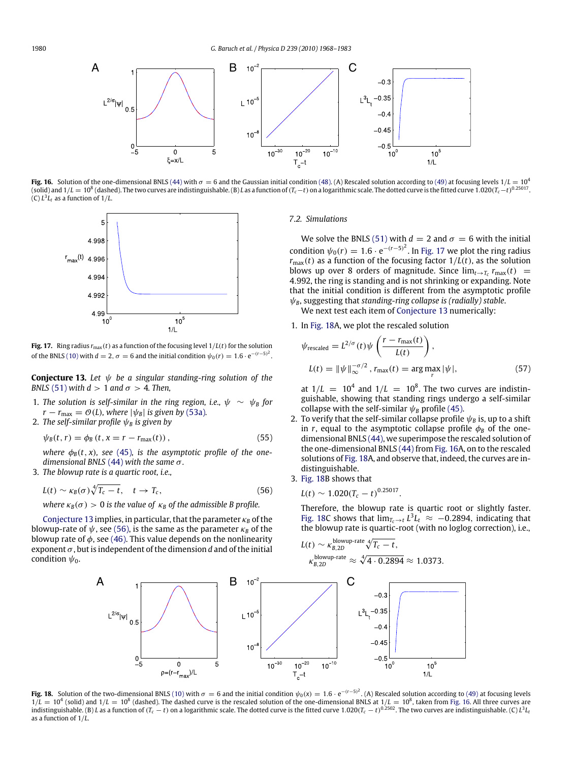<span id="page-12-0"></span>

**Fig. 16.** Solution of the one-dimensional BNLS [\(44\)](#page-11-2) with  $\sigma = 6$  and the Gaussian initial condition [\(48\).](#page-11-9) (A) Rescaled solution according to [\(49\)](#page-11-10) at focusing levels  $1/L = 10^4$ (solid) and 1/L  $=10^8$  (dashed). The two curves are indistinguishable. (B) L as a function of (T<sub>c</sub>  $-t$  ) on a logarithmic scale. The dotted curve is the fitted curve 1.020(T<sub>c</sub>  $-t$ )<sup>0.25017</sup>.  $(C) L<sup>3</sup>L<sub>t</sub>$  as a function of 1/*L*.

<span id="page-12-3"></span>

**Fig. 17.** Ring radius  $r_{\text{max}}(t)$  as a function of the focusing level  $1/L(t)$  for the solution of the BNLS [\(10\)](#page-2-3) with  $d = 2$ ,  $\sigma = 6$  and the initial condition  $\psi_0(r) = 1.6 \cdot e^{-(r-5)^2}$ .

<span id="page-12-1"></span>**Conjecture 13.** *Let* ψ *be a singular standing-ring solution of the BNLS* [\(51\)](#page-11-7) *with*  $d > 1$  *and*  $\sigma > 4$ *. Then,* 

- 1. The solution is self-similar in the ring region, i.e.,  $\psi \sim \psi_B$  for  $r - r_{\text{max}} = \mathcal{O}(L)$ , where  $|\psi_B|$  *is given by* [\(53a\)](#page-11-11).
- 2. *The self-similar profile*  $\psi_B$  *is given by*

$$
\psi_B(t, r) = \phi_B(t, x = r - r_{\text{max}}(t)), \qquad (55)
$$

*where*  $\phi_B(t, x)$ *, see* [\(45\)](#page-11-4)*,* is the asymptotic profile of the one*dimensional BNLS* [\(44\)](#page-11-2) *with the same* σ*.*

3. *The blowup rate is a quartic root, i.e.,*

$$
L(t) \sim \kappa_B(\sigma) \sqrt[4]{T_c - t}, \quad t \to T_c,
$$
\n(56)

*where*  $\kappa_B(\sigma) > 0$  *is the value of*  $\kappa_B$  *of the admissible B profile.* 

<span id="page-12-4"></span>[Conjecture 13](#page-12-1) implies, in particular, that the parameter  $\kappa_B$  of the blowup-rate of  $\psi$ , see [\(56\),](#page-12-2) is the same as the parameter  $\kappa_B$  of the blowup rate of  $\phi$ , see [\(46\).](#page-11-5) This value depends on the nonlinearity exponent σ, but is independent of the dimension *d* and of the initial condition  $\psi_0$ .

#### *7.2. Simulations*

We solve the BNLS [\(51\)](#page-11-7) with  $d = 2$  and  $\sigma = 6$  with the initial condition  $\psi_0(r) = 1.6 \cdot e^{-(r-5)^2}$ . In [Fig. 17](#page-12-3) we plot the ring radius  $r_{\text{max}}(t)$  as a function of the focusing factor  $1/L(t)$ , as the solution blows up over 8 orders of magnitude. Since  $\lim_{t\to T_c} r_{\text{max}}(t)$  = 4.992, the ring is standing and is not shrinking or expanding. Note that the initial condition is different from the asymptotic profile ψ*B*, suggesting that *standing-ring collapse is (radially) stable*.

We next test each item of [Conjecture 13](#page-12-1) numerically:

1. In [Fig. 18A](#page-12-4), we plot the rescaled solution

<span id="page-12-5"></span>
$$
\psi_{\text{rescaled}} = L^{2/\sigma}(t)\psi\left(\frac{r - r_{\text{max}}(t)}{L(t)}\right),
$$
  
\n
$$
L(t) = \|\psi\|_{\infty}^{-\sigma/2}, r_{\text{max}}(t) = \arg\max_{r} |\psi|,
$$
\n(57)

at  $1/L = 10^4$  and  $1/L = 10^8$ . The two curves are indistinguishable, showing that standing rings undergo a self-similar collapse with the self-similar  $\psi_B$  profile [\(45\).](#page-11-4)

- 2. To verify that the self-similar collapse profile  $\psi_B$  is, up to a shift in *r*, equal to the asymptotic collapse profile  $\phi_B$  of the onedimensional BNLS [\(44\),](#page-11-2) we superimpose the rescaled solution of the one-dimensional BNLS [\(44\)](#page-11-2) from [Fig. 16A](#page-12-0), on to the rescaled solutions of [Fig. 18A](#page-12-4), and observe that, indeed, the curves are indistinguishable.
- <span id="page-12-2"></span>3. [Fig. 18B](#page-12-4) shows that

$$
L(t) \sim 1.020(T_c - t)^{0.25017}.
$$

Therefore, the blowup rate is quartic root or slightly faster. [Fig. 18C](#page-12-4) shows that  $\lim_{T_c \to t} L^3 L_t \approx -0.2894$ , indicating that the blowup rate is quartic-root (with no loglog correction), i.e.,



**Fig. 18.** Solution of the two-dimensional BNLS [\(10\)](#page-2-3) with  $\sigma = 6$  and the initial condition  $\psi_0(x) = 1.6 \cdot e^{-(r-5)^2}$ . (A) Rescaled solution according to [\(49\)](#page-11-10) at focusing levels  $1/L = 10^4$  (solid) and  $1/L = 10^8$  (dashed). as a function of 1/*L*.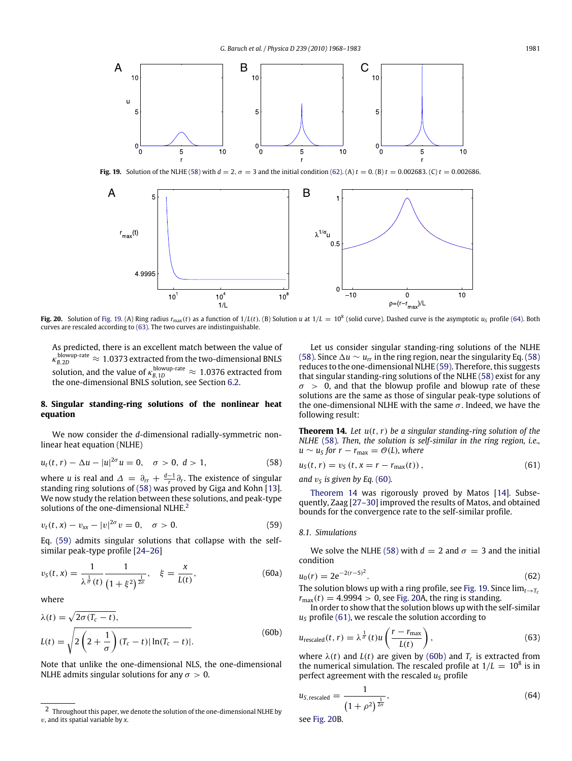<span id="page-13-3"></span>

**Fig. 19.** Solution of the NLHE [\(58\)](#page-13-1) with  $d = 2$ ,  $\sigma = 3$  and the initial condition [\(62\).](#page-13-2) (A)  $t = 0$ . (B)  $t = 0.002683$ . (C)  $t = 0.002686$ .

<span id="page-13-10"></span>

**Fig. 20.** Solution of [Fig. 19.](#page-13-3) (A) Ring radius  $r_{\text{max}}(t)$  as a function of  $1/L(t)$ . (B) Solution  $u$  at  $1/L = 10^8$  (solid curve). Dashed curve is the asymptotic  $u_s$  profile [\(64\).](#page-13-4) Both curves are rescaled according to [\(63\).](#page-13-5) The two curves are indistinguishable.

As predicted, there is an excellent match between the value of  $\kappa_{B,2D}$  $B_{B,2D}^{\text{blowup-rate}} \approx 1.0373$  extracted from the two-dimensional BNLS solution, and the value of  $\kappa_{B,\,1D}^{\rm blowup-rate} \approx 1.0376$  extracted from the one-dimensional BNLS solution, see Section [6.2.](#page-11-12)

## <span id="page-13-0"></span>**8. Singular standing-ring solutions of the nonlinear heat equation**

We now consider the *d*-dimensional radially-symmetric nonlinear heat equation (NLHE)

$$
u_t(t,r) - \Delta u - |u|^{2\sigma} u = 0, \quad \sigma > 0, \ d > 1,
$$
 (58)

where *u* is real and  $\Delta = \partial_r + \frac{d-1}{r} \partial_r$ . The existence of singular standing ring solutions of [\(58\)](#page-13-1) was proved by Giga and Kohn [\[13\]](#page-15-12). We now study the relation between these solutions, and peak-type solutions of the one-dimensional NLHE.<sup>[2](#page-13-6)</sup>

$$
v_t(t, x) - v_{xx} - |v|^{2\sigma} v = 0, \quad \sigma > 0.
$$
 (59)

Eq. [\(59\)](#page-13-7) admits singular solutions that collapse with the selfsimilar peak-type profile [\[24–26\]](#page-15-23)

<span id="page-13-8"></span>
$$
v_S(t,x) = \frac{1}{\lambda^{\frac{1}{\sigma}}(t)} \frac{1}{(1+\xi^2)^{\frac{1}{2\sigma}}}, \quad \xi = \frac{x}{L(t)},
$$
(60a)

where

$$
\lambda(t) = \sqrt{2\sigma (T_c - t)},
$$
  
\n
$$
L(t) = \sqrt{2\left(2 + \frac{1}{\sigma}\right) (T_c - t) |\ln(T_c - t)|}.
$$
\n(60b)

Note that unlike the one-dimensional NLS, the one-dimensional NLHE admits singular solutions for any  $\sigma > 0$ .

Let us consider singular standing-ring solutions of the NLHE [\(58\).](#page-13-1) Since  $\Delta u \sim u_{rr}$  in the ring region, near the singularity Eq. [\(58\)](#page-13-1) reduces to the one-dimensional NLHE [\(59\).](#page-13-7) Therefore, this suggests that singular standing-ring solutions of the NLHE [\(58\)](#page-13-1) exist for any  $\sigma > 0$ , and that the blowup profile and blowup rate of these solutions are the same as those of singular peak-type solutions of the one-dimensional NLHE with the same  $\sigma$ . Indeed, we have the following result:

<span id="page-13-9"></span>**Theorem 14.** *Let u*(*t*,*r*) *be a singular standing-ring solution of the NLHE* [\(58\)](#page-13-1)*. Then, the solution is self-similar in the ring region, i.e.,*  $u \sim u_S$  *for*  $r - r_{\text{max}} = \mathcal{O}(L)$ *, where* 

<span id="page-13-1"></span>
$$
u_{\rm S}(t,r) = v_{\rm S}(t,x = r - r_{\rm max}(t)),
$$
\n(61)

<span id="page-13-11"></span>and  $v_S$  is given by Eq. [\(60\)](#page-13-8).

[Theorem 14](#page-13-9) was rigorously proved by Matos [\[14\]](#page-15-13). Subsequently, Zaag [\[27–30\]](#page-15-24) improved the results of Matos, and obtained bounds for the convergence rate to the self-similar profile.

#### <span id="page-13-7"></span>*8.1. Simulations*

We solve the NLHE [\(58\)](#page-13-1) with  $d = 2$  and  $\sigma = 3$  and the initial condition

<span id="page-13-2"></span>
$$
u_0(r) = 2e^{-2(r-5)^2}.
$$
 (62)

The solution blows up with a ring profile, see [Fig. 19.](#page-13-3) Since  $\lim_{t\to T_c}$  $r_{\text{max}}(t) = 4.9994 > 0$ , see [Fig. 20A](#page-13-10), the ring is standing.

<span id="page-13-12"></span>In order to show that the solution blows up with the self-similar *u<sup>S</sup>* profile [\(61\),](#page-13-11) we rescale the solution according to

<span id="page-13-5"></span>
$$
u_{\text{rescaled}}(t, r) = \lambda^{\frac{1}{\sigma}}(t)u\left(\frac{r - r_{\text{max}}}{L(t)}\right),\tag{63}
$$

where  $\lambda(t)$  and  $L(t)$  are given by [\(60b\)](#page-13-12) and  $T_c$  is extracted from the numerical simulation. The rescaled profile at  $1/L = 10^8$  is in perfect agreement with the rescaled  $u<sub>S</sub>$  profile

<span id="page-13-4"></span>
$$
u_{S,rescaled} = \frac{1}{\left(1+\rho^2\right)^{\frac{1}{2\sigma}}},\tag{64}
$$

see [Fig. 20B](#page-13-10).

<span id="page-13-6"></span><sup>2</sup> Throughout this paper, we denote the solution of the one-dimensional NLHE by v, and its spatial variable by *x*.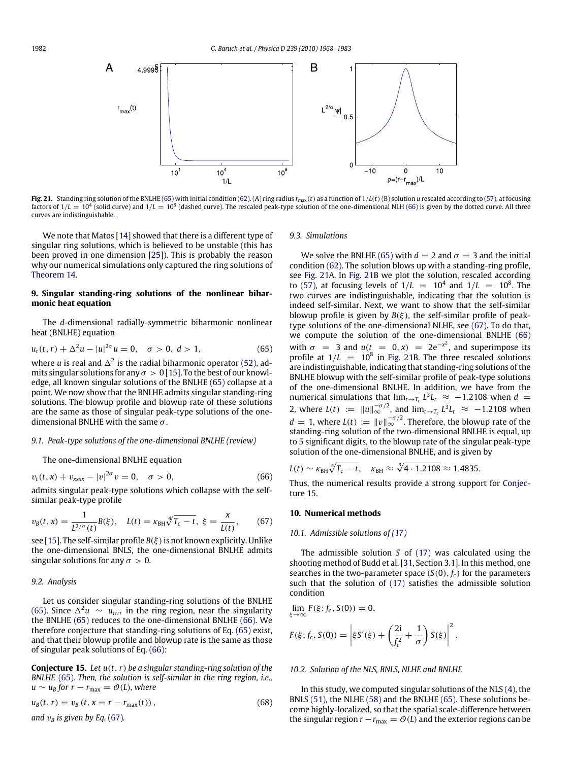<span id="page-14-5"></span>

**Fig. 21.** Standing ring solution of the BNLHE [\(65\)](#page-14-2) with initial condition [\(62\).](#page-13-2) (A) ring radius *r*max(*t*) as a function of 1/*L*(*t*)(B) solution *u* rescaled according to [\(57\),](#page-12-5) at focusing factors of 1/*L* =  $10^4$  (solid curve) and 1/*L* =  $10^8$  (dashed curve). The rescaled peak-type solution of the one-dimensional NLH [\(66\)](#page-14-3) is given by the dotted curve. All three curves are indistinguishable.

We note that Matos [\[14\]](#page-15-13) showed that there is a different type of singular ring solutions, which is believed to be unstable (this has been proved in one dimension [\[25\]](#page-15-25)). This is probably the reason why our numerical simulations only captured the ring solutions of [Theorem 14.](#page-13-9)

## <span id="page-14-0"></span>**9. Singular standing-ring solutions of the nonlinear biharmonic heat equation**

The *d*-dimensional radially-symmetric biharmonic nonlinear heat (BNLHE) equation

$$
u_t(t, r) + \Delta^2 u - |u|^{2\sigma} u = 0, \quad \sigma > 0, \ d > 1,
$$
 (65)

where *u* is real and  $\Delta^2$  is the radial biharmonic operator [\(52\),](#page-11-8) admits singular solutions for any  $\sigma > 0$  [\[15\]](#page-15-14). To the best of our knowledge, all known singular solutions of the BNLHE [\(65\)](#page-14-2) collapse at a point. We now show that the BNLHE admits singular standing-ring solutions. The blowup profile and blowup rate of these solutions are the same as those of singular peak-type solutions of the onedimensional BNLHE with the same  $\sigma$ .

## *9.1. Peak-type solutions of the one-dimensional BNLHE (review)*

The one-dimensional BNLHE equation

$$
v_t(t, x) + v_{xxxx} - |v|^{2\sigma} v = 0, \quad \sigma > 0,
$$
\n(66)

admits singular peak-type solutions which collapse with the selfsimilar peak-type profile

$$
v_B(t, x) = \frac{1}{L^{2/\sigma}(t)} B(\xi), \quad L(t) = \kappa_{BH} \sqrt[4]{T_c - t}, \xi = \frac{x}{L(t)}, \quad (67)
$$

see [\[15\]](#page-15-14). The self-similar profile  $B(\xi)$  is not known explicitly. Unlike the one-dimensional BNLS, the one-dimensional BNLHE admits singular solutions for any  $\sigma > 0$ .

## *9.2. Analysis*

Let us consider singular standing-ring solutions of the BNLHE [\(65\).](#page-14-2) Since  $\Delta^2 u \sim u_{rrr}$  in the ring region, near the singularity the BNLHE [\(65\)](#page-14-2) reduces to the one-dimensional BNLHE [\(66\).](#page-14-3) We therefore conjecture that standing-ring solutions of Eq. [\(65\)](#page-14-2) exist, and that their blowup profile and blowup rate is the same as those of singular peak solutions of Eq. [\(66\):](#page-14-3)

<span id="page-14-6"></span>**Conjecture 15.** *Let u*(*t*,*r*) *be a singular standing-ring solution of the BNLHE* [\(65\)](#page-14-2)*. Then, the solution is self-similar in the ring region, i.e.,*  $u \sim u_B$  *for*  $r - r_{\text{max}} = \mathcal{O}(L)$ *, where* 

$$
u_B(t, r) = v_B(t, x = r - r_{\text{max}}(t)),
$$
\n(68)

*and*  $v_B$  *is given by Eq.* [\(67\)](#page-14-4)*.* 

#### *9.3. Simulations*

<span id="page-14-2"></span>We solve the BNLHE [\(65\)](#page-14-2) with  $d = 2$  and  $\sigma = 3$  and the initial condition [\(62\).](#page-13-2) The solution blows up with a standing-ring profile, see [Fig. 21A](#page-14-5). In [Fig. 21B](#page-14-5) we plot the solution, rescaled according to [\(57\),](#page-12-5) at focusing levels of  $1/L = 10^4$  and  $1/L = 10^8$ . The two curves are indistinguishable, indicating that the solution is indeed self-similar. Next, we want to show that the self-similar blowup profile is given by  $B(\xi)$ , the self-similar profile of peaktype solutions of the one-dimensional NLHE, see [\(67\).](#page-14-4) To do that, we compute the solution of the one-dimensional BNLHE [\(66\)](#page-14-3) with  $\sigma = 3$  and  $u(t = 0, x) = 2e^{-x^2}$ , and superimpose its profile at  $1/L = 10^8$  in [Fig. 21B](#page-14-5). The three rescaled solutions are indistinguishable, indicating that standing-ring solutions of the BNLHE blowup with the self-similar profile of peak-type solutions of the one-dimensional BNLHE. In addition, we have from the numerical simulations that  $\lim_{t\to T_c} L^3L_t \approx -1.2108$  when  $d =$ 2, where  $L(t) := \|u\|_{\infty}^{-\sigma/2}$ , and  $\lim_{t \to T_c} L^3 L_t \approx -1.2108$  when  $d = 1$ , where  $L(t) := ||v||_{\infty}^{-\sigma/2}$ . Therefore, the blowup rate of the standing-ring solution of the two-dimensional BNLHE is equal, up to 5 significant digits, to the blowup rate of the singular peak-type solution of the one-dimensional BNLHE, and is given by

$$
L(t) \sim \kappa_{\text{BH}} \sqrt[4]{T_c - t}, \quad \kappa_{\text{BH}} \approx \sqrt[4]{4 \cdot 1.2108} \approx 1.4835.
$$

<span id="page-14-3"></span>[T](#page-14-6)hus, the numerical results provide a strong support for [Conjec](#page-14-6)[ture 15.](#page-14-6)

## <span id="page-14-4"></span><span id="page-14-1"></span>**10. Numerical methods**

#### *10.1. Admissible solutions of [\(17\)](#page-4-3)*

The admissible solution *S* of [\(17\)](#page-4-3) was calculated using the shooting method of Budd et al. [\[31,](#page-15-26) Section 3.1]. In this method, one searches in the two-parameter space  $(S(0), f_c)$  for the parameters such that the solution of [\(17\)](#page-4-3) satisfies the admissible solution condition

$$
\lim_{\xi \to \infty} F(\xi; f_c, S(0)) = 0,
$$
\n
$$
F(\xi; f_c, S(0)) = \left| \xi S'(\xi) + \left( \frac{2i}{f_c^2} + \frac{1}{\sigma} \right) S(\xi) \right|^2.
$$

## *10.2. Solution of the NLS, BNLS, NLHE and BNLHE*

In this study, we computed singular solutions of the NLS  $(4)$ , the BNLS [\(51\),](#page-11-7) the NLHE [\(58\)](#page-13-1) and the BNLHE [\(65\).](#page-14-2) These solutions become highly-localized, so that the spatial scale-difference between the singular region  $r - r_{\text{max}} = \mathcal{O}(L)$  and the exterior regions can be